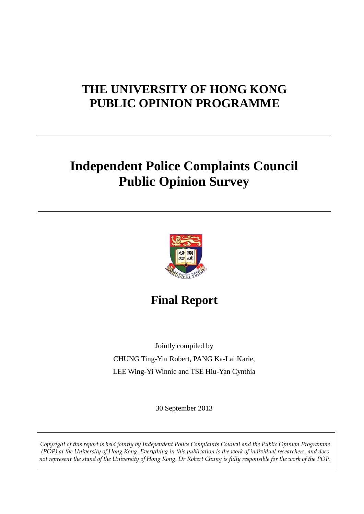# **THE UNIVERSITY OF HONG KONG PUBLIC OPINION PROGRAMME**

# **Independent Police Complaints Council Public Opinion Survey**



**Final Report**

Jointly compiled by CHUNG Ting-Yiu Robert, PANG Ka-Lai Karie, LEE Wing-Yi Winnie and TSE Hiu-Yan Cynthia

30 September 2013

<span id="page-0-0"></span>*Copyright of this report is held jointly by Independent Police Complaints Council and the Public Opinion Programme (POP) at the University of Hong Kong. Everything in this publication is the work of individual researchers, and does not represent the stand of the University of Hong Kong. Dr Robert Chung is fully responsible for the work of the POP.*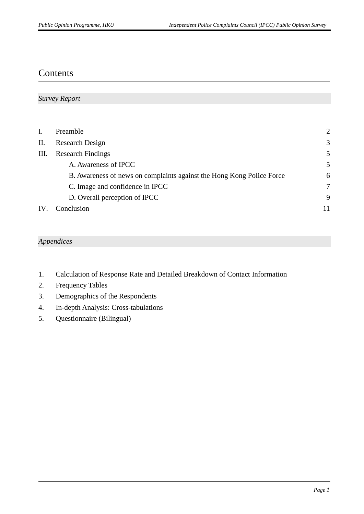## Contents

| <b>Survey Report</b> |  |
|----------------------|--|
|----------------------|--|

| Ι.  | Preamble                                                              | $\overline{2}$ |
|-----|-----------------------------------------------------------------------|----------------|
| II. | Research Design                                                       | 3              |
| Ш.  | <b>Research Findings</b>                                              | 5              |
|     | A. Awareness of IPCC                                                  | 5              |
|     | B. Awareness of news on complaints against the Hong Kong Police Force | 6              |
|     | C. Image and confidence in IPCC                                       | 7              |
|     | D. Overall perception of IPCC                                         | 9              |
| IV. | Conclusion                                                            | 11             |

#### *Appendices*

- 1. Calculation of Response Rate and Detailed Breakdown of Contact Information
- 2. Frequency Tables
- 3. Demographics of the Respondents
- 4. In-depth Analysis: Cross-tabulations
- 5. Questionnaire (Bilingual)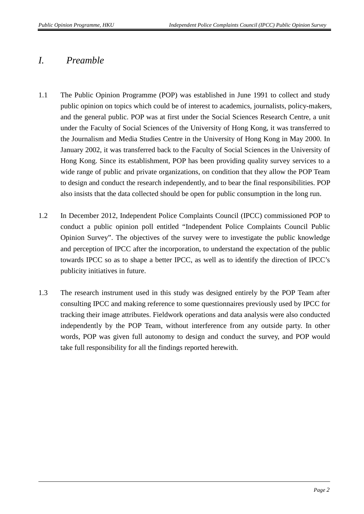### *I. Preamble*

- 1.1 The Public Opinion Programme (POP) was established in June 1991 to collect and study public opinion on topics which could be of interest to academics, journalists, policy-makers, and the general public. POP was at first under the Social Sciences Research Centre, a unit under the Faculty of Social Sciences of the University of Hong Kong, it was transferred to the Journalism and Media Studies Centre in the University of Hong Kong in May 2000. In January 2002, it was transferred back to the Faculty of Social Sciences in the University of Hong Kong. Since its establishment, POP has been providing quality survey services to a wide range of public and private organizations, on condition that they allow the POP Team to design and conduct the research independently, and to bear the final responsibilities. POP also insists that the data collected should be open for public consumption in the long run.
- 1.2 In December 2012, Independent Police Complaints Council (IPCC) commissioned POP to conduct a public opinion poll entitled "Independent Police Complaints Council Public Opinion Survey". The objectives of the survey were to investigate the public knowledge and perception of IPCC after the incorporation, to understand the expectation of the public towards IPCC so as to shape a better IPCC, as well as to identify the direction of IPCC's publicity initiatives in future.
- 1.3 The research instrument used in this study was designed entirely by the POP Team after consulting IPCC and making reference to some questionnaires previously used by IPCC for tracking their image attributes. Fieldwork operations and data analysis were also conducted independently by the POP Team, without interference from any outside party. In other words, POP was given full autonomy to design and conduct the survey, and POP would take full responsibility for all the findings reported herewith.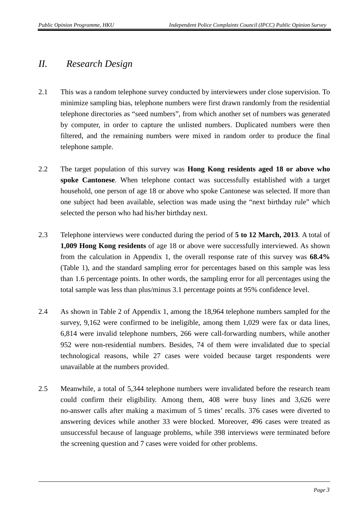### *II. Research Design*

- 2.1 This was a random telephone survey conducted by interviewers under close supervision. To minimize sampling bias, telephone numbers were first drawn randomly from the residential telephone directories as "seed numbers", from which another set of numbers was generated by computer, in order to capture the unlisted numbers. Duplicated numbers were then filtered, and the remaining numbers were mixed in random order to produce the final telephone sample.
- 2.2 The target population of this survey was **Hong Kong residents aged 18 or above who spoke Cantonese**. When telephone contact was successfully established with a target household, one person of age 18 or above who spoke Cantonese was selected. If more than one subject had been available, selection was made using the "next birthday rule" which selected the person who had his/her birthday next.
- 2.3 Telephone interviews were conducted during the period of **5 to 12 March, 2013**. A total of **1,009 Hong Kong residents** of age 18 or above were successfully interviewed. As shown from the calculation in Appendix 1, the overall response rate of this survey was **68.4%** (Table 1), and the standard sampling error for percentages based on this sample was less than 1.6 percentage points. In other words, the sampling error for all percentages using the total sample was less than plus/minus 3.1 percentage points at 95% confidence level.
- 2.4 As shown in Table 2 of Appendix 1, among the 18,964 telephone numbers sampled for the survey, 9,162 were confirmed to be ineligible, among them 1,029 were fax or data lines, 6,814 were invalid telephone numbers, 266 were call-forwarding numbers, while another 952 were non-residential numbers. Besides, 74 of them were invalidated due to special technological reasons, while 27 cases were voided because target respondents were unavailable at the numbers provided.
- 2.5 Meanwhile, a total of 5,344 telephone numbers were invalidated before the research team could confirm their eligibility. Among them, 408 were busy lines and 3,626 were no-answer calls after making a maximum of 5 times' recalls. 376 cases were diverted to answering devices while another 33 were blocked. Moreover, 496 cases were treated as unsuccessful because of language problems, while 398 interviews were terminated before the screening question and 7 cases were voided for other problems.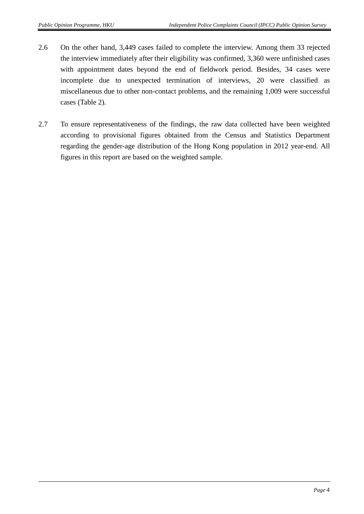- 2.6 On the other hand, 3,449 cases failed to complete the interview. Among them 33 rejected the interview immediately after their eligibility was confirmed, 3,360 were unfinished cases with appointment dates beyond the end of fieldwork period. Besides, 34 cases were incomplete due to unexpected termination of interviews, 20 were classified as miscellaneous due to other non-contact problems, and the remaining 1,009 were successful cases (Table 2).
- 2.7 To ensure representativeness of the findings, the raw data collected have been weighted according to provisional figures obtained from the Census and Statistics Department regarding the gender-age distribution of the Hong Kong population in 2012 year-end. All figures in this report are based on the weighted sample.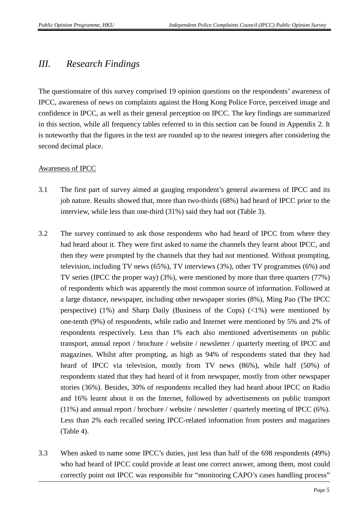## *III. Research Findings*

The questionnaire of this survey comprised 19 opinion questions on the respondents' awareness of IPCC, awareness of news on complaints against the Hong Kong Police Force, perceived image and confidence in IPCC, as well as their general perception on IPCC. The key findings are summarized in this section, while all frequency tables referred to in this section can be found in Appendix 2. It is noteworthy that the figures in the text are rounded up to the nearest integers after considering the second decimal place.

#### Awareness of IPCC

- 3.1 The first part of survey aimed at gauging respondent's general awareness of IPCC and its job nature. Results showed that, more than two-thirds (68%) had heard of IPCC prior to the interview, while less than one-third (31%) said they had not (Table 3).
- 3.2 The survey continued to ask those respondents who had heard of IPCC from where they had heard about it. They were first asked to name the channels they learnt about IPCC, and then they were prompted by the channels that they had not mentioned. Without prompting, television, including TV news (65%), TV interviews (3%), other TV programmes (6%) and TV series (IPCC the proper way) (3%), were mentioned by more than three quarters (77%) of respondents which was apparently the most common source of information. Followed at a large distance, newspaper, including other newspaper stories (8%), Ming Pao (The IPCC perspective) (1%) and Sharp Daily (Business of the Cops)  $(\langle 1\% \rangle)$  were mentioned by one-tenth (9%) of respondents, while radio and Internet were mentioned by 5% and 2% of respondents respectively. Less than 1% each also mentioned advertisements on public transport, annual report / brochure / website / newsletter / quarterly meeting of IPCC and magazines. Whilst after prompting, as high as 94% of respondents stated that they had heard of IPCC via television, mostly from TV news (86%), while half (50%) of respondents stated that they had heard of it from newspaper, mostly from other newspaper stories (36%). Besides, 30% of respondents recalled they had heard about IPCC on Radio and 16% learnt about it on the Internet, followed by advertisements on public transport (11%) and annual report / brochure / website / newsletter / quarterly meeting of IPCC (6%). Less than 2% each recalled seeing IPCC-related information from posters and magazines (Table 4).
- 3.3 When asked to name some IPCC's duties, just less than half of the 698 respondents (49%) who had heard of IPCC could provide at least one correct answer, among them, most could correctly point out IPCC was responsible for "monitoring CAPO's cases handling process"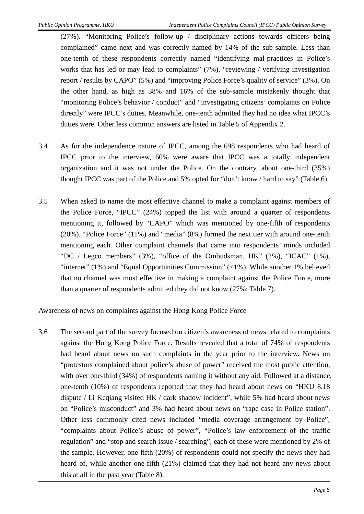(27%). "Monitoring Police's follow-up / disciplinary actions towards officers being complained" came next and was correctly named by 14% of the sub-sample. Less than one-tenth of these respondents correctly named "identifying mal-practices in Police's works that has led or may lead to complaints" (7%), "reviewing / verifying investigation report / results by CAPO" (5%) and "improving Police Force's quality of service" (3%). On the other hand, as high as 38% and 16% of the sub-sample mistakenly thought that "monitoring Police's behavior / conduct" and "investigating citizens' complaints on Police directly" were IPCC's duties. Meanwhile, one-tenth admitted they had no idea what IPCC's duties were. Other less common answers are listed in Table 5 of Appendix 2.

- 3.4 As for the independence nature of IPCC, among the 698 respondents who had heard of IPCC prior to the interview, 60% were aware that IPCC was a totally independent organization and it was not under the Police. On the contrary, about one-third (35%) thought IPCC was part of the Police and 5% opted for "don't know / hard to say" (Table 6).
- 3.5 When asked to name the most effective channel to make a complaint against members of the Police Force, "IPCC" (24%) topped the list with around a quarter of respondents mentioning it, followed by "CAPO" which was mentioned by one-fifth of respondents (20%). "Police Force" (11%) and "media" (8%) formed the next tier with around one-tenth mentioning each. Other complaint channels that came into respondents' minds included "DC / Legco members" (3%), "office of the Ombudsman, HK" (2%), "ICAC" (1%), "internet"  $(1\%)$  and "Equal Opportunities Commission"  $(\langle 1\% \rangle)$ . While another 1% believed that no channel was most effective in making a complaint against the Police Force, more than a quarter of respondents admitted they did not know (27%; Table 7).

#### Awareness of news on complaints against the Hong Kong Police Force

3.6 The second part of the survey focused on citizen's awareness of news related to complaints against the Hong Kong Police Force. Results revealed that a total of 74% of respondents had heard about news on such complaints in the year prior to the interview. News on "protestors complained about police's abuse of power" received the most public attention, with over one-third (34%) of respondents naming it without any aid. Followed at a distance, one-tenth (10%) of respondents reported that they had heard about news on "HKU 8.18 dispute / Li Keqiang visited HK / dark shadow incident", while 5% had heard about news on "Police's misconduct" and 3% had heard about news on "rape case in Police station". Other less commonly cited news included "media coverage arrangement by Police", "complaints about Police's abuse of power", "Police's law enforcement of the traffic regulation" and "stop and search issue / searching", each of these were mentioned by 2% of the sample. However, one-fifth (20%) of respondents could not specify the news they had heard of, while another one-fifth (21%) claimed that they had not heard any news about this at all in the past year (Table 8).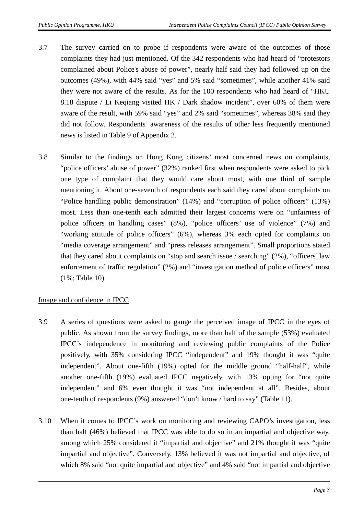- 3.7 The survey carried on to probe if respondents were aware of the outcomes of those complaints they had just mentioned. Of the 342 respondents who had heard of "protestors complained about Police's abuse of power", nearly half said they had followed up on the outcomes (49%), with 44% said "yes" and 5% said "sometimes", while another 41% said they were not aware of the results. As for the 100 respondents who had heard of "HKU 8.18 dispute / Li Keqiang visited HK / Dark shadow incident", over 60% of them were aware of the result, with 59% said "yes" and 2% said "sometimes", whereas 38% said they did not follow. Respondents' awareness of the results of other less frequently mentioned news is listed in Table 9 of Appendix 2.
- 3.8 Similar to the findings on Hong Kong citizens' most concerned news on complaints, "police officers' abuse of power" (32%) ranked first when respondents were asked to pick one type of complaint that they would care about most, with one third of sample mentioning it. About one-seventh of respondents each said they cared about complaints on "Police handling public demonstration" (14%) and "corruption of police officers" (13%) most. Less than one-tenth each admitted their largest concerns were on "unfairness of police officers in handling cases" (8%), "police officers' use of violence" (7%) and "working attitude of police officers" (6%), whereas 3% each opted for complaints on "media coverage arrangement" and "press releases arrangement". Small proportions stated that they cared about complaints on "stop and search issue / searching" (2%), "officers' law enforcement of traffic regulation" (2%) and "investigation method of police officers" most (1%; Table 10).

#### Image and confidence in IPCC

- 3.9 A series of questions were asked to gauge the perceived image of IPCC in the eyes of public. As shown from the survey findings, more than half of the sample (53%) evaluated IPCC's independence in monitoring and reviewing public complaints of the Police positively, with 35% considering IPCC "independent" and 19% thought it was "quite independent". About one-fifth (19%) opted for the middle ground "half-half", while another one-fifth (19%) evaluated IPCC negatively, with 13% opting for "not quite independent" and 6% even thought it was "not independent at all". Besides, about one-tenth of respondents (9%) answered "don't know / hard to say" (Table 11).
- 3.10 When it comes to IPCC's work on monitoring and reviewing CAPO's investigation, less than half (46%) believed that IPCC was able to do so in an impartial and objective way, among which 25% considered it "impartial and objective" and 21% thought it was "quite impartial and objective". Conversely, 13% believed it was not impartial and objective, of which 8% said "not quite impartial and objective" and 4% said "not impartial and objective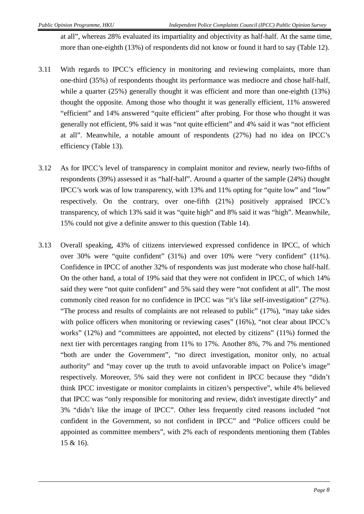at all", whereas 28% evaluated its impartiality and objectivity as half-half. At the same time, more than one-eighth (13%) of respondents did not know or found it hard to say (Table 12).

- 3.11 With regards to IPCC's efficiency in monitoring and reviewing complaints, more than one-third (35%) of respondents thought its performance was mediocre and chose half-half, while a quarter (25%) generally thought it was efficient and more than one-eighth (13%) thought the opposite. Among those who thought it was generally efficient, 11% answered "efficient" and 14% answered "quite efficient" after probing. For those who thought it was generally not efficient, 9% said it was "not quite efficient" and 4% said it was "not efficient at all". Meanwhile, a notable amount of respondents (27%) had no idea on IPCC's efficiency (Table 13).
- 3.12 As for IPCC's level of transparency in complaint monitor and review, nearly two-fifths of respondents (39%) assessed it as "half-half". Around a quarter of the sample (24%) thought IPCC's work was of low transparency, with 13% and 11% opting for "quite low" and "low" respectively. On the contrary, over one-fifth (21%) positively appraised IPCC's transparency, of which 13% said it was "quite high" and 8% said it was "high". Meanwhile, 15% could not give a definite answer to this question (Table 14).
- 3.13 Overall speaking, 43% of citizens interviewed expressed confidence in IPCC, of which over 30% were "quite confident" (31%) and over 10% were "very confident" (11%). Confidence in IPCC of another 32% of respondents was just moderate who chose half-half. On the other hand, a total of 19% said that they were not confident in IPCC, of which 14% said they were "not quite confident" and 5% said they were "not confident at all". The most commonly cited reason for no confidence in IPCC was "it's like self-investigation" (27%). "The process and results of complaints are not released to public" (17%), "may take sides with police officers when monitoring or reviewing cases" (16%), "not clear about IPCC's works" (12%) and "committees are appointed, not elected by citizens" (11%) formed the next tier with percentages ranging from 11% to 17%. Another 8%, 7% and 7% mentioned "both are under the Government", "no direct investigation, monitor only, no actual authority" and "may cover up the truth to avoid unfavorable impact on Police's image" respectively. Moreover, 5% said they were not confident in IPCC because they "didn't think IPCC investigate or monitor complaints in citizen's perspective", while 4% believed that IPCC was "only responsible for monitoring and review, didn't investigate directly" and 3% "didn't like the image of IPCC". Other less frequently cited reasons included "not confident in the Government, so not confident in IPCC" and "Police officers could be appointed as committee members", with 2% each of respondents mentioning them (Tables 15 & 16).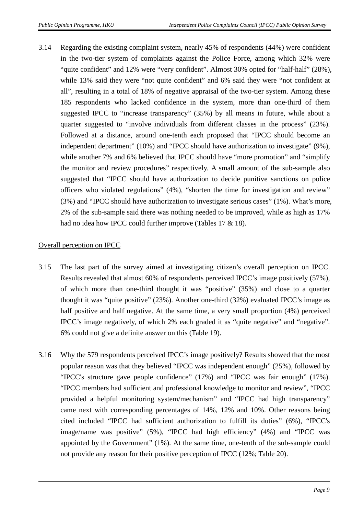3.14 Regarding the existing complaint system, nearly 45% of respondents (44%) were confident in the two-tier system of complaints against the Police Force, among which 32% were "quite confident" and 12% were "very confident". Almost 30% opted for "half-half" (28%), while 13% said they were "not quite confident" and 6% said they were "not confident at all", resulting in a total of 18% of negative appraisal of the two-tier system. Among these 185 respondents who lacked confidence in the system, more than one-third of them suggested IPCC to "increase transparency" (35%) by all means in future, while about a quarter suggested to "involve individuals from different classes in the process" (23%). Followed at a distance, around one-tenth each proposed that "IPCC should become an independent department" (10%) and "IPCC should have authorization to investigate" (9%), while another 7% and 6% believed that IPCC should have "more promotion" and "simplify" the monitor and review procedures" respectively. A small amount of the sub-sample also suggested that "IPCC should have authorization to decide punitive sanctions on police officers who violated regulations" (4%), "shorten the time for investigation and review" (3%) and "IPCC should have authorization to investigate serious cases" (1%). What's more, 2% of the sub-sample said there was nothing needed to be improved, while as high as 17% had no idea how IPCC could further improve (Tables 17 & 18).

#### Overall perception on IPCC

- 3.15 The last part of the survey aimed at investigating citizen's overall perception on IPCC. Results revealed that almost 60% of respondents perceived IPCC's image positively (57%), of which more than one-third thought it was "positive" (35%) and close to a quarter thought it was "quite positive" (23%). Another one-third (32%) evaluated IPCC's image as half positive and half negative. At the same time, a very small proportion (4%) perceived IPCC's image negatively, of which 2% each graded it as "quite negative" and "negative". 6% could not give a definite answer on this (Table 19).
- 3.16 Why the 579 respondents perceived IPCC's image positively? Results showed that the most popular reason was that they believed "IPCC was independent enough" (25%), followed by "IPCC's structure gave people confidence" (17%) and "IPCC was fair enough" (17%). "IPCC members had sufficient and professional knowledge to monitor and review", "IPCC provided a helpful monitoring system/mechanism" and "IPCC had high transparency" came next with corresponding percentages of 14%, 12% and 10%. Other reasons being cited included "IPCC had sufficient authorization to fulfill its duties" (6%), "IPCC's image/name was positive" (5%), "IPCC had high efficiency" (4%) and "IPCC was appointed by the Government" (1%). At the same time, one-tenth of the sub-sample could not provide any reason for their positive perception of IPCC (12%; Table 20).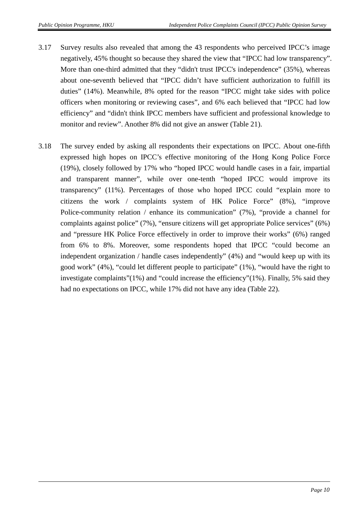- 3.17 Survey results also revealed that among the 43 respondents who perceived IPCC's image negatively, 45% thought so because they shared the view that "IPCC had low transparency". More than one-third admitted that they "didn't trust IPCC's independence" (35%), whereas about one-seventh believed that "IPCC didn't have sufficient authorization to fulfill its duties" (14%). Meanwhile, 8% opted for the reason "IPCC might take sides with police officers when monitoring or reviewing cases", and 6% each believed that "IPCC had low efficiency" and "didn't think IPCC members have sufficient and professional knowledge to monitor and review". Another 8% did not give an answer (Table 21).
- 3.18 The survey ended by asking all respondents their expectations on IPCC. About one-fifth expressed high hopes on IPCC's effective monitoring of the Hong Kong Police Force (19%), closely followed by 17% who "hoped IPCC would handle cases in a fair, impartial and transparent manner", while over one-tenth "hoped IPCC would improve its transparency" (11%). Percentages of those who hoped IPCC could "explain more to citizens the work / complaints system of HK Police Force" (8%), "improve Police-community relation / enhance its communication" (7%), "provide a channel for complaints against police" (7%), "ensure citizens will get appropriate Police services" (6%) and "pressure HK Police Force effectively in order to improve their works" (6%) ranged from 6% to 8%. Moreover, some respondents hoped that IPCC "could become an independent organization / handle cases independently" (4%) and "would keep up with its good work" (4%), "could let different people to participate" (1%), "would have the right to investigate complaints"(1%) and "could increase the efficiency"(1%). Finally, 5% said they had no expectations on IPCC, while 17% did not have any idea (Table 22).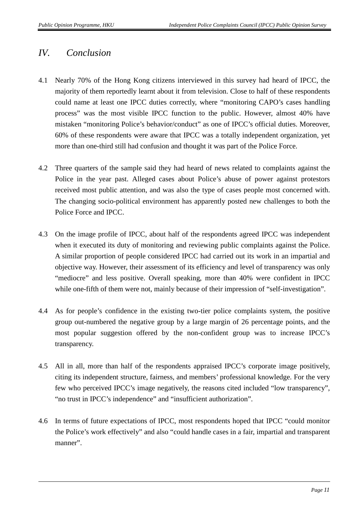## *IV. Conclusion*

- 4.1 Nearly 70% of the Hong Kong citizens interviewed in this survey had heard of IPCC, the majority of them reportedly learnt about it from television. Close to half of these respondents could name at least one IPCC duties correctly, where "monitoring CAPO's cases handling process" was the most visible IPCC function to the public. However, almost 40% have mistaken "monitoring Police's behavior/conduct" as one of IPCC's official duties. Moreover, 60% of these respondents were aware that IPCC was a totally independent organization, yet more than one-third still had confusion and thought it was part of the Police Force.
- 4.2 Three quarters of the sample said they had heard of news related to complaints against the Police in the year past. Alleged cases about Police's abuse of power against protestors received most public attention, and was also the type of cases people most concerned with. The changing socio-political environment has apparently posted new challenges to both the Police Force and IPCC.
- 4.3 On the image profile of IPCC, about half of the respondents agreed IPCC was independent when it executed its duty of monitoring and reviewing public complaints against the Police. A similar proportion of people considered IPCC had carried out its work in an impartial and objective way. However, their assessment of its efficiency and level of transparency was only "mediocre" and less positive. Overall speaking, more than 40% were confident in IPCC while one-fifth of them were not, mainly because of their impression of "self-investigation".
- 4.4 As for people's confidence in the existing two-tier police complaints system, the positive group out-numbered the negative group by a large margin of 26 percentage points, and the most popular suggestion offered by the non-confident group was to increase IPCC's transparency.
- 4.5 All in all, more than half of the respondents appraised IPCC's corporate image positively, citing its independent structure, fairness, and members' professional knowledge. For the very few who perceived IPCC's image negatively, the reasons cited included "low transparency", "no trust in IPCC's independence" and "insufficient authorization".
- 4.6 In terms of future expectations of IPCC, most respondents hoped that IPCC "could monitor the Police's work effectively" and also "could handle cases in a fair, impartial and transparent manner".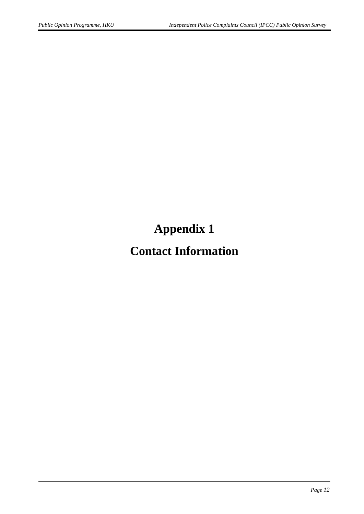**Appendix 1**

# **Contact Information**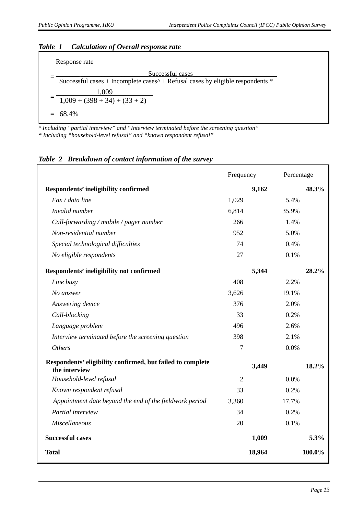#### *Table 1 Calculation of Overall response rate*



*^ Including "partial interview" and "Interview terminated before the screening question" \* Including "household-level refusal" and "known respondent refusal"*

#### *Table 2 Breakdown of contact information of the survey*

|                                                                             | Frequency      | Percentage |        |
|-----------------------------------------------------------------------------|----------------|------------|--------|
| Respondents' ineligibility confirmed                                        |                | 9,162      | 48.3%  |
| Fax / data line                                                             | 1,029          | 5.4%       |        |
| Invalid number                                                              | 6,814          | 35.9%      |        |
| Call-forwarding / mobile / pager number                                     | 266            | 1.4%       |        |
| Non-residential number                                                      | 952            | 5.0%       |        |
| Special technological difficulties                                          | 74             | 0.4%       |        |
| No eligible respondents                                                     | 27             | 0.1%       |        |
| Respondents' ineligibility not confirmed                                    |                | 5,344      | 28.2%  |
| Line busy                                                                   | 408            | 2.2%       |        |
| No answer                                                                   | 3,626          | 19.1%      |        |
| Answering device                                                            | 376            | 2.0%       |        |
| Call-blocking                                                               | 33             | 0.2%       |        |
| Language problem                                                            | 496            | 2.6%       |        |
| Interview terminated before the screening question                          | 398            | 2.1%       |        |
| <b>Others</b>                                                               | 7              | 0.0%       |        |
| Respondents' eligibility confirmed, but failed to complete<br>the interview |                | 3,449      | 18.2%  |
| Household-level refusal                                                     | $\overline{2}$ | 0.0%       |        |
| Known respondent refusal                                                    | 33             | 0.2%       |        |
| Appointment date beyond the end of the fieldwork period                     | 3,360          | 17.7%      |        |
| Partial interview                                                           | 34             | 0.2%       |        |
| <b>Miscellaneous</b>                                                        | 20             | 0.1%       |        |
| <b>Successful cases</b>                                                     |                | 1,009      | 5.3%   |
| <b>Total</b>                                                                |                | 18,964     | 100.0% |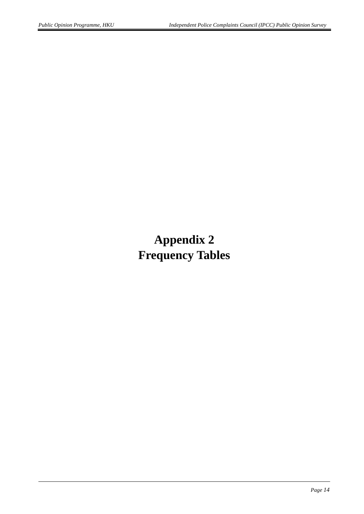# **Appendix 2 Frequency Tables**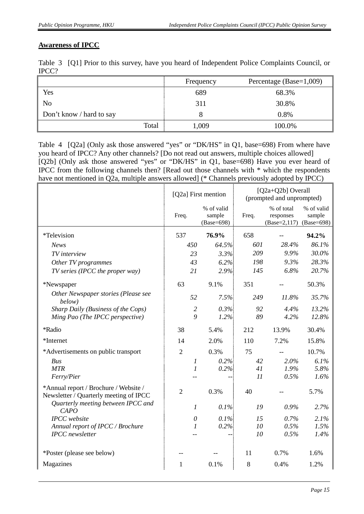#### **Awareness of IPCC**

|       | Table 3 [Q1] Prior to this survey, have you heard of Independent Police Complaints Council, or |
|-------|------------------------------------------------------------------------------------------------|
| IPCC? |                                                                                                |

|                          | Percentage (Base=1,009)<br>Frequency |        |
|--------------------------|--------------------------------------|--------|
| Yes                      | 689                                  | 68.3%  |
| N <sub>o</sub>           | 311                                  | 30.8%  |
| Don't know / hard to say |                                      | 0.8%   |
| Total                    | 1,009                                | 100.0% |

Table 4 [Q2a] (Only ask those answered "yes" or "DK/HS" in Q1, base=698) From where have you heard of IPCC? Any other channels? [Do not read out answers, multiple choices allowed] [Q2b] (Only ask those answered "yes" or "DK/HS" in Q1, base=698) Have you ever heard of IPCC from the following channels then? [Read out those channels with \* which the respondents have not mentioned in Q2a, multiple answers allowed] (\* Channels previously adopted by IPCC)

|                                                                                 | [Q2a] First mention |                                    |       | [Q2a+Q2b] Overall<br>(prompted and unprompted)     |                      |
|---------------------------------------------------------------------------------|---------------------|------------------------------------|-------|----------------------------------------------------|----------------------|
|                                                                                 | Freq.               | % of valid<br>sample<br>(Base=698) | Freq. | % of total<br>responses<br>(Base=2,117) (Base=698) | % of valid<br>sample |
| *Television                                                                     | 537                 | 76.9%                              | 658   |                                                    | 94.2%                |
| <b>News</b>                                                                     | 450                 | 64.5%                              | 601   | 28.4%                                              | 86.1%                |
| TV interview                                                                    | 23                  | 3.3%                               | 209   | 9.9%                                               | 30.0%                |
| Other TV programmes                                                             | 43                  | 6.2%                               | 198   | 9.3%                                               | 28.3%                |
| TV series (IPCC the proper way)                                                 | 21                  | 2.9%                               | 145   | 6.8%                                               | 20.7%                |
| *Newspaper                                                                      | 63                  | 9.1%                               | 351   |                                                    | 50.3%                |
| Other Newspaper stories (Please see<br>below)                                   | 52                  | 7.5%                               | 249   | 11.8%                                              | 35.7%                |
| Sharp Daily (Business of the Cops)                                              | $\overline{2}$      | 0.3%                               | 92    | 4.4%                                               | 13.2%                |
| Ming Pao (The IPCC perspective)                                                 | 9                   | 1.2%                               | 89    | 4.2%                                               | 12.8%                |
| *Radio                                                                          | 38                  | 5.4%                               | 212   | 13.9%                                              | 30.4%                |
| *Internet                                                                       | 14                  | 2.0%                               | 110   | 7.2%                                               | 15.8%                |
| *Advertisements on public transport                                             | $\overline{2}$      | 0.3%                               | 75    |                                                    | 10.7%                |
| Bus                                                                             | 1                   | 0.2%                               | 42    | 2.0%                                               | 6.1%                 |
| <b>MTR</b>                                                                      | $\boldsymbol{l}$    | 0.2%                               | 41    | 1.9%                                               | 5.8%                 |
| Ferry/Pier                                                                      |                     |                                    | 11    | 0.5%                                               | 1.6%                 |
| *Annual report / Brochure / Website /<br>Newsletter / Quarterly meeting of IPCC | $\overline{2}$      | 0.3%                               | 40    |                                                    | 5.7%                 |
| Quarterly meeting between IPCC and<br><b>CAPO</b>                               | $\boldsymbol{l}$    | 0.1%                               | 19    | 0.9%                                               | 2.7%                 |
| <b>IPCC</b> website                                                             | $\theta$            | 0.1%                               | 15    | 0.7%                                               | 2.1%                 |
| Annual report of IPCC / Brochure                                                | $\mathcal{I}$       | 0.2%                               | 10    | 0.5%                                               | 1.5%                 |
| <b>IPCC</b> newsletter                                                          |                     |                                    | 10    | 0.5%                                               | 1.4%                 |
| *Poster (please see below)                                                      |                     |                                    | 11    | 0.7%                                               | 1.6%                 |
| Magazines                                                                       | 1                   | 0.1%                               | 8     | 0.4%                                               | 1.2%                 |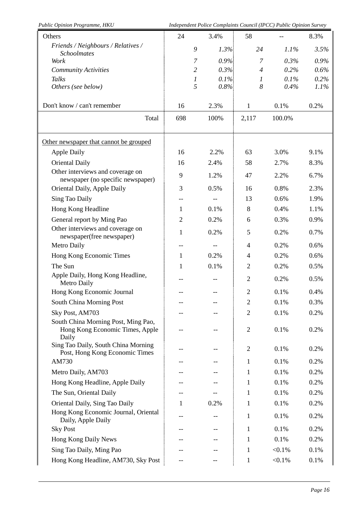| Public Opinion Programme, HKU                                                   |                |                  |      |                | Independent Police Complaints Council (IPCC) Public Opinion Survey |      |
|---------------------------------------------------------------------------------|----------------|------------------|------|----------------|--------------------------------------------------------------------|------|
| Others                                                                          | 24             |                  | 3.4% | 58             |                                                                    | 8.3% |
| Friends / Neighbours / Relatives /<br><b>Schoolmates</b>                        |                | 9                | 1.3% | 24             | 1.1%                                                               | 3.5% |
| Work                                                                            |                | 7                | 0.9% | $\overline{7}$ | 0.3%                                                               | 0.9% |
| <b>Community Activities</b>                                                     |                | $\overline{2}$   | 0.3% | $\overline{4}$ | 0.2%                                                               | 0.6% |
| <b>Talks</b>                                                                    |                | $\boldsymbol{l}$ | 0.1% | 1              | 0.1%                                                               | 0.2% |
| Others (see below)                                                              |                | 5                | 0.8% | 8              | 0.4%                                                               | 1.1% |
| Don't know / can't remember                                                     | 16             |                  | 2.3% | $\mathbf{1}$   | 0.1%                                                               | 0.2% |
| Total                                                                           | 698            |                  | 100% | 2,117          | 100.0%                                                             |      |
| Other newspaper that cannot be grouped                                          |                |                  |      |                |                                                                    |      |
| <b>Apple Daily</b>                                                              | 16             |                  | 2.2% | 63             | 3.0%                                                               | 9.1% |
| <b>Oriental Daily</b>                                                           | 16             |                  | 2.4% | 58             | 2.7%                                                               | 8.3% |
| Other interviews and coverage on<br>newspaper (no specific newspaper)           | 9              |                  | 1.2% | 47             | 2.2%                                                               | 6.7% |
| Oriental Daily, Apple Daily                                                     | 3              |                  | 0.5% | 16             | 0.8%                                                               | 2.3% |
| Sing Tao Daily                                                                  | --             |                  |      | 13             | 0.6%                                                               | 1.9% |
| Hong Kong Headline                                                              | 1              |                  | 0.1% | 8              | 0.4%                                                               | 1.1% |
| General report by Ming Pao                                                      | $\overline{2}$ |                  | 0.2% | 6              | 0.3%                                                               | 0.9% |
| Other interviews and coverage on<br>newspaper(free newspaper)                   | $\mathbf{1}$   |                  | 0.2% | 5              | 0.2%                                                               | 0.7% |
| Metro Daily                                                                     | --             |                  |      | $\overline{4}$ | 0.2%                                                               | 0.6% |
| Hong Kong Economic Times                                                        | 1              |                  | 0.2% | $\overline{4}$ | 0.2%                                                               | 0.6% |
| The Sun                                                                         | $\mathbf{1}$   |                  | 0.1% | $\overline{2}$ | 0.2%                                                               | 0.5% |
| Apple Daily, Hong Kong Headline,<br>Metro Daily                                 |                |                  |      | $\overline{2}$ | 0.2%                                                               | 0.5% |
| Hong Kong Economic Journal                                                      |                |                  |      | $\overline{2}$ | 0.1%                                                               | 0.4% |
| South China Morning Post                                                        |                |                  |      | 2              | 0.1%                                                               | 0.3% |
| Sky Post, AM703                                                                 |                |                  |      | $\overline{2}$ | 0.1%                                                               | 0.2% |
| South China Morning Post, Ming Pao,<br>Hong Kong Economic Times, Apple<br>Daily |                |                  |      | $\overline{2}$ | 0.1%                                                               | 0.2% |
| Sing Tao Daily, South China Morning<br>Post, Hong Kong Economic Times           |                |                  |      | $\overline{2}$ | 0.1%                                                               | 0.2% |
| AM730                                                                           |                |                  |      | 1              | 0.1%                                                               | 0.2% |
| Metro Daily, AM703                                                              |                |                  |      | 1              | 0.1%                                                               | 0.2% |
| Hong Kong Headline, Apple Daily                                                 |                |                  |      | 1              | 0.1%                                                               | 0.2% |
| The Sun, Oriental Daily                                                         |                |                  |      | 1              | 0.1%                                                               | 0.2% |
| Oriental Daily, Sing Tao Daily                                                  | 1              |                  | 0.2% | 1              | 0.1%                                                               | 0.2% |
| Hong Kong Economic Journal, Oriental<br>Daily, Apple Daily                      | --             |                  |      | $\mathbf{1}$   | 0.1%                                                               | 0.2% |
| <b>Sky Post</b>                                                                 | --             |                  |      | $\mathbf{1}$   | 0.1%                                                               | 0.2% |
| Hong Kong Daily News                                                            |                |                  |      | 1              | 0.1%                                                               | 0.2% |
| Sing Tao Daily, Ming Pao                                                        |                |                  |      | 1              | $< 0.1\%$                                                          | 0.1% |
| Hong Kong Headline, AM730, Sky Post                                             | --             |                  |      | $\mathbf{1}$   | $< 0.1\%$                                                          | 0.1% |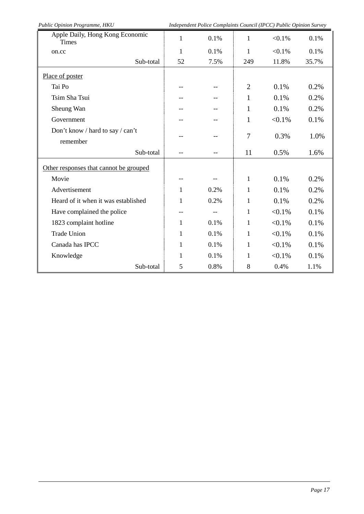| Public Opinion Programme, HKU<br>Independent Police Complaints Council (IPCC) Public Opinion Survey |              |      |                |           |       |
|-----------------------------------------------------------------------------------------------------|--------------|------|----------------|-----------|-------|
| Apple Daily, Hong Kong Economic<br><b>Times</b>                                                     | $\mathbf{1}$ | 0.1% | $\mathbf{1}$   | $< 0.1\%$ | 0.1%  |
| on.cc                                                                                               | 1            | 0.1% | $\mathbf{1}$   | $< 0.1\%$ | 0.1%  |
| Sub-total                                                                                           | 52           | 7.5% | 249            | 11.8%     | 35.7% |
| Place of poster                                                                                     |              |      |                |           |       |
| Tai Po                                                                                              |              |      | $\overline{2}$ | 0.1%      | 0.2%  |
| Tsim Sha Tsui                                                                                       | --           |      | $\mathbf{1}$   | 0.1%      | 0.2%  |
| Sheung Wan                                                                                          |              |      | $\mathbf{1}$   | 0.1%      | 0.2%  |
| Government                                                                                          |              |      | 1              | $< 0.1\%$ | 0.1%  |
| Don't know / hard to say / can't<br>remember                                                        |              |      | 7              | 0.3%      | 1.0%  |
| Sub-total                                                                                           |              |      | 11             | 0.5%      | 1.6%  |
| Other responses that cannot be grouped                                                              |              |      |                |           |       |
| Movie                                                                                               | $-$          |      | $\mathbf{1}$   | 0.1%      | 0.2%  |
| Advertisement                                                                                       | 1            | 0.2% | $\mathbf{1}$   | 0.1%      | 0.2%  |
| Heard of it when it was established                                                                 | 1            | 0.2% | 1              | 0.1%      | 0.2%  |
| Have complained the police                                                                          | --           | $-$  | $\mathbf{1}$   | $< 0.1\%$ | 0.1%  |
| 1823 complaint hotline                                                                              | 1            | 0.1% | $\mathbf{1}$   | $< 0.1\%$ | 0.1%  |
| <b>Trade Union</b>                                                                                  | 1            | 0.1% | $\mathbf{1}$   | $< 0.1\%$ | 0.1%  |
| Canada has IPCC                                                                                     | 1            | 0.1% | 1              | $< 0.1\%$ | 0.1%  |
| Knowledge                                                                                           | 1            | 0.1% | 1              | $< 0.1\%$ | 0.1%  |
| Sub-total                                                                                           | 5            | 0.8% | 8              | 0.4%      | 1.1%  |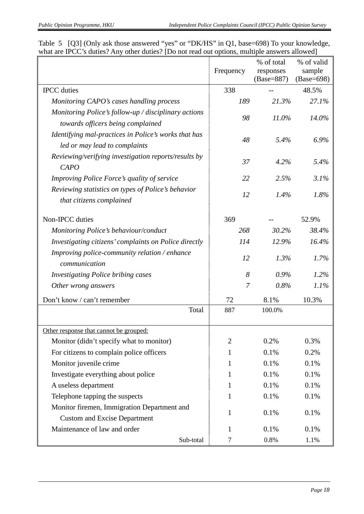|                                                                                           | Frequency      | % of total<br>responses<br>(Base=887) | % of valid<br>sample<br>(Base=698) |  |
|-------------------------------------------------------------------------------------------|----------------|---------------------------------------|------------------------------------|--|
| <b>IPCC</b> duties                                                                        | 338            |                                       | 48.5%                              |  |
| Monitoring CAPO's cases handling process                                                  | 189            | 21.3%                                 | 27.1%                              |  |
| Monitoring Police's follow-up / disciplinary actions<br>towards officers being complained | 98             | $11.0\%$                              | 14.0%                              |  |
| Identifying mal-practices in Police's works that has<br>led or may lead to complaints     | 48             | 5.4%                                  | 6.9%                               |  |
| Reviewing/verifying investigation reports/results by<br><b>CAPO</b>                       | 37             | 4.2%                                  | 5.4%                               |  |
| Improving Police Force's quality of service                                               | 22             | 2.5%                                  | 3.1%                               |  |
| Reviewing statistics on types of Police's behavior<br>that citizens complained            | 12             | 1.4%                                  | 1.8%                               |  |
| Non-IPCC duties                                                                           | 369            |                                       | 52.9%                              |  |
| Monitoring Police's behaviour/conduct                                                     | 268            | 30.2%                                 | 38.4%                              |  |
| Investigating citizens' complaints on Police directly                                     | 114            | 12.9%                                 | 16.4%                              |  |
| Improving police-community relation / enhance<br>communication                            | 12             | 1.3%                                  | 1.7%                               |  |
| <b>Investigating Police bribing cases</b>                                                 | 8              | 0.9%                                  | 1.2%                               |  |
| Other wrong answers                                                                       | $\overline{7}$ | 0.8%                                  | 1.1%                               |  |
| Don't know / can't remember                                                               | 72             | 8.1%                                  | 10.3%                              |  |
| Total                                                                                     | 887            | 100.0%                                |                                    |  |
| Other response that cannot be grouped:                                                    |                |                                       |                                    |  |
| Monitor (didn't specify what to monitor)                                                  | $\overline{2}$ | 0.2%                                  | 0.3%                               |  |
| For citizens to complain police officers                                                  | 1              | 0.1%                                  | 0.2%                               |  |
| Monitor juvenile crime                                                                    | 1              | 0.1%                                  | 0.1%                               |  |
| Investigate everything about police                                                       | 1              | 0.1%                                  | 0.1%                               |  |
| A useless department                                                                      | 1              | 0.1%                                  | 0.1%                               |  |
| Telephone tapping the suspects                                                            | 1              | 0.1%                                  | 0.1%                               |  |
| Monitor firemen, Immigration Department and                                               | 1              | 0.1%                                  | 0.1%                               |  |
| <b>Custom and Excise Department</b>                                                       |                |                                       |                                    |  |
| Maintenance of law and order                                                              | 1              | 0.1%                                  | 0.1%                               |  |
| Sub-total                                                                                 | 7              | 0.8%                                  | 1.1%                               |  |

Table 5 [Q3] (Only ask those answered "yes" or "DK/HS" in Q1, base=698) To your knowledge, what are IPCC's duties? Any other duties? [Do not read out options, multiple answers allowed]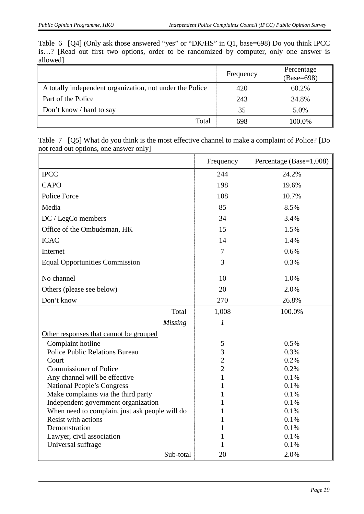Table 6 [Q4] (Only ask those answered "yes" or "DK/HS" in Q1, base=698) Do you think IPCC is…? [Read out first two options, order to be randomized by computer, only one answer is allowed]

|                                                          | Frequency | Percentage<br>(Base=698) |
|----------------------------------------------------------|-----------|--------------------------|
| A totally independent organization, not under the Police | 420       | 60.2%                    |
| Part of the Police                                       | 243       | 34.8%                    |
| Don't know / hard to say                                 | 35        | 5.0%                     |
| Total                                                    | 698       | 100.0%                   |

Table 7 [Q5] What do you think is the most effective channel to make a complaint of Police? [Do not read out options, one answer only]

|                                                | Frequency        | Percentage (Base=1,008) |
|------------------------------------------------|------------------|-------------------------|
| <b>IPCC</b>                                    | 244              | 24.2%                   |
| CAPO                                           | 198              | 19.6%                   |
| Police Force                                   | 108              | 10.7%                   |
| Media                                          | 85               | 8.5%                    |
| DC / LegCo members                             | 34               | 3.4%                    |
| Office of the Ombudsman, HK                    | 15               | 1.5%                    |
| <b>ICAC</b>                                    | 14               | 1.4%                    |
| Internet                                       | 7                | 0.6%                    |
| <b>Equal Opportunities Commission</b>          | 3                | 0.3%                    |
| No channel                                     | 10               | 1.0%                    |
| Others (please see below)                      | 20               | 2.0%                    |
| Don't know                                     | 270              | 26.8%                   |
| Total                                          | 1,008            | 100.0%                  |
| <b>Missing</b>                                 | $\boldsymbol{l}$ |                         |
| Other responses that cannot be grouped         |                  |                         |
| Complaint hotline                              | 5                | 0.5%                    |
| <b>Police Public Relations Bureau</b>          | $\overline{3}$   | 0.3%                    |
| Court                                          | $\overline{2}$   | 0.2%                    |
| <b>Commissioner of Police</b>                  | $\overline{2}$   | 0.2%                    |
| Any channel will be effective                  | 1                | 0.1%                    |
| <b>National People's Congress</b>              | 1                | 0.1%                    |
| Make complaints via the third party            |                  | 0.1%                    |
| Independent government organization            |                  | 0.1%                    |
| When need to complain, just ask people will do |                  | 0.1%                    |
| Resist with actions                            |                  | 0.1%                    |
| Demonstration                                  | 1                | 0.1%                    |
| Lawyer, civil association                      | 1                | 0.1%                    |
| Universal suffrage                             | 1                | 0.1%                    |
| Sub-total                                      | 20               | 2.0%                    |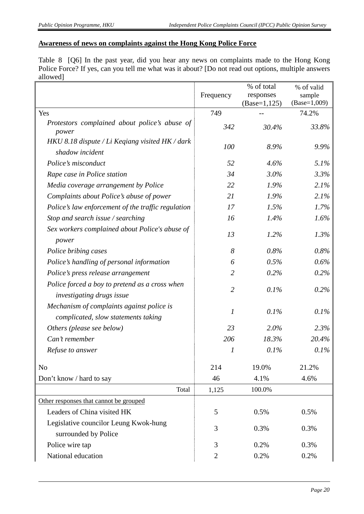#### **Awareness of news on complaints against the Hong Kong Police Force**

Table 8 [Q6] In the past year, did you hear any news on complaints made to the Hong Kong Police Force? If yes, can you tell me what was it about? [Do not read out options, multiple answers allowed]

|                                                                                  |                | % of total      | % of valid     |
|----------------------------------------------------------------------------------|----------------|-----------------|----------------|
|                                                                                  | Frequency      | responses       | sample         |
|                                                                                  |                | $(Base=1, 125)$ | $(Base=1,009)$ |
| Yes                                                                              | 749            |                 | 74.2%          |
| Protestors complained about police's abuse of<br>power                           | 342            | 30.4%           | 33.8%          |
| HKU 8.18 dispute / Li Keqiang visited HK / dark<br>shadow incident               | 100            | 8.9%            | 9.9%           |
| Police's misconduct                                                              | 52             | 4.6%            | 5.1%           |
| Rape case in Police station                                                      | 34             | $3.0\%$         | 3.3%           |
| Media coverage arrangement by Police                                             | 22             | 1.9%            | 2.1%           |
| Complaints about Police's abuse of power                                         | 21             | 1.9%            | 2.1%           |
| Police's law enforcement of the traffic regulation                               | 17             | 1.5%            | 1.7%           |
| Stop and search issue / searching                                                | 16             | 1.4%            | 1.6%           |
| Sex workers complained about Police's abuse of<br>power                          | 13             | 1.2%            | 1.3%           |
| Police bribing cases                                                             | 8              | 0.8%            | 0.8%           |
| Police's handling of personal information                                        | 6              | 0.5%            | $0.6\%$        |
| Police's press release arrangement                                               | $\overline{2}$ | 0.2%            | 0.2%           |
| Police forced a boy to pretend as a cross when<br>investigating drugs issue      | $\overline{2}$ | 0.1%            | $0.2\%$        |
| Mechanism of complaints against police is<br>complicated, slow statements taking | 1              | 0.1%            | 0.1%           |
| Others (please see below)                                                        | 23             | 2.0%            | 2.3%           |
| Can't remember                                                                   | 206            | 18.3%           | 20.4%          |
| Refuse to answer                                                                 | 1              | 0.1%            | 0.1%           |
| No                                                                               | 214            | 19.0%           | 21.2%          |
| Don't know / hard to say                                                         | 46             | 4.1%            | 4.6%           |
| Total                                                                            | 1,125          | 100.0%          |                |
| Other responses that cannot be grouped                                           |                |                 |                |
| Leaders of China visited HK                                                      | 5              | 0.5%            | 0.5%           |
| Legislative councilor Leung Kwok-hung                                            |                |                 |                |
| surrounded by Police                                                             | 3              | 0.3%            | 0.3%           |
| Police wire tap                                                                  | 3              | 0.2%            | 0.3%           |
| National education                                                               | $\overline{2}$ | 0.2%            | 0.2%           |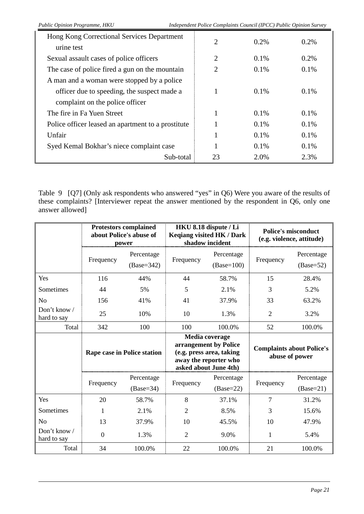| Hong Kong Correctional Services Department         | $\overline{2}$ | $0.2\%$ | $0.2\%$ |
|----------------------------------------------------|----------------|---------|---------|
| urine test                                         |                |         |         |
| Sexual assault cases of police officers            | 2              | 0.1%    | $0.2\%$ |
| The case of police fired a gun on the mountain     | 2              | 0.1%    | 0.1%    |
| A man and a woman were stopped by a police         |                |         |         |
| officer due to speeding, the suspect made a        |                | 0.1%    | $0.1\%$ |
| complaint on the police officer                    |                |         |         |
| The fire in Fa Yuen Street                         |                | $0.1\%$ | $0.1\%$ |
| Police officer leased an apartment to a prostitute |                | 0.1%    | 0.1%    |
| Unfair                                             |                | 0.1%    | 0.1%    |
| Syed Kemal Bokhar's niece complaint case           |                | 0.1%    | 0.1%    |
| Sub-total                                          | 23             | 2.0%    | 2.3%    |

Table 9 [Q7] (Only ask respondents who answered "yes" in Q6) Were you aware of the results of these complaints? [Interviewer repeat the answer mentioned by the respondent in Q6, only one answer allowed]

|                             | <b>Protestors complained</b><br>about Police's abuse of<br>power |                            |                                                                                                                       | HKU 8.18 dispute / Li<br>Keqiang visited HK / Dark<br>shadow incident | <b>Police's misconduct</b><br>(e.g. violence, attitude) |                                                    |  |
|-----------------------------|------------------------------------------------------------------|----------------------------|-----------------------------------------------------------------------------------------------------------------------|-----------------------------------------------------------------------|---------------------------------------------------------|----------------------------------------------------|--|
|                             | Frequency                                                        | Percentage<br>$(Base=342)$ | Frequency                                                                                                             | Percentage<br>$(Base=100)$                                            | Frequency                                               | Percentage<br>$(Base=52)$                          |  |
| Yes                         | 116                                                              | 44%                        | 44                                                                                                                    | 58.7%                                                                 | 15                                                      | 28.4%                                              |  |
| Sometimes                   | 44                                                               | 5%                         | 5                                                                                                                     | 2.1%                                                                  | 3                                                       | 5.2%                                               |  |
| N <sub>o</sub>              | 156                                                              | 41%                        | 41                                                                                                                    | 37.9%                                                                 | 33                                                      | 63.2%                                              |  |
| Don't know /<br>hard to say | 25                                                               | 10%                        | 10                                                                                                                    | 1.3%                                                                  | $\overline{2}$                                          | 3.2%                                               |  |
| Total                       | 342                                                              | 100                        | 100                                                                                                                   | 100.0%                                                                | 52                                                      | 100.0%                                             |  |
|                             | <b>Rape case in Police station</b>                               |                            | Media coverage<br>arrangement by Police<br>(e.g. press area, taking<br>away the reporter who<br>asked about June 4th) |                                                                       |                                                         | <b>Complaints about Police's</b><br>abuse of power |  |
|                             | Frequency                                                        | Percentage                 | Frequency                                                                                                             | Percentage                                                            | Frequency                                               | Percentage                                         |  |
|                             |                                                                  | $(Base=34)$                |                                                                                                                       | $(Base=22)$                                                           |                                                         | $(Base=21)$                                        |  |
| Yes                         | 20                                                               | 58.7%                      | 8                                                                                                                     | 37.1%                                                                 | 7                                                       | 31.2%                                              |  |
| Sometimes                   | 1                                                                | 2.1%                       | $\overline{2}$                                                                                                        | 8.5%                                                                  | 3                                                       | 15.6%                                              |  |
| N <sub>o</sub>              | 13                                                               | 37.9%                      | 10                                                                                                                    | 45.5%                                                                 | 10                                                      | 47.9%                                              |  |
| Don't know /<br>hard to say | $\overline{0}$                                                   | 1.3%                       | $\overline{2}$                                                                                                        | 9.0%                                                                  | 1                                                       | 5.4%                                               |  |
| Total                       | 34                                                               | 100.0%                     | 22                                                                                                                    | 100.0%                                                                | 21                                                      | 100.0%                                             |  |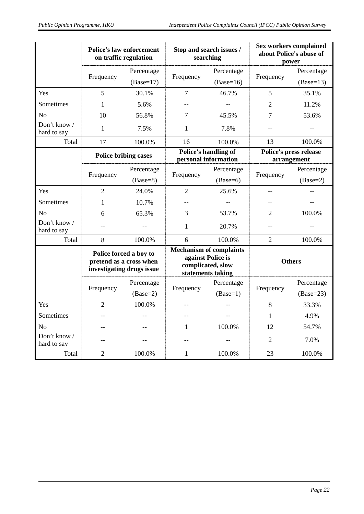|                             | <b>Police's law enforcement</b><br>on traffic regulation |                                                      |                | Stop and search issues /<br>searching                                                         | <b>Sex workers complained</b><br>about Police's abuse of<br>power |                                       |  |
|-----------------------------|----------------------------------------------------------|------------------------------------------------------|----------------|-----------------------------------------------------------------------------------------------|-------------------------------------------------------------------|---------------------------------------|--|
|                             |                                                          | Percentage                                           |                | Percentage                                                                                    |                                                                   | Percentage                            |  |
|                             | Frequency                                                | $(Base=17)$                                          | Frequency      | $(Base=16)$                                                                                   | Frequency                                                         | $(Base=13)$                           |  |
| Yes                         | 5                                                        | 30.1%                                                | $\overline{7}$ | 46.7%                                                                                         | 5                                                                 | 35.1%                                 |  |
| Sometimes                   | 1                                                        | 5.6%                                                 |                |                                                                                               | 2                                                                 | 11.2%                                 |  |
| N <sub>o</sub>              | 10                                                       | 56.8%                                                | 7              | 45.5%                                                                                         | 7                                                                 | 53.6%                                 |  |
| Don't know /<br>hard to say | 1                                                        | 7.5%                                                 | 1              | 7.8%                                                                                          |                                                                   |                                       |  |
| Total                       | 17                                                       | 100.0%                                               | 16             | 100.0%                                                                                        | 13                                                                | 100.0%                                |  |
|                             |                                                          | <b>Police bribing cases</b>                          |                | Police's handling of<br>personal information                                                  |                                                                   | Police's press release<br>arrangement |  |
|                             |                                                          | Percentage                                           |                | Percentage                                                                                    |                                                                   | Percentage                            |  |
|                             | Frequency                                                | $(Base=8)$                                           | Frequency      | $(Base=6)$                                                                                    | Frequency                                                         | $(Base=2)$                            |  |
| Yes                         | $\overline{2}$                                           | 24.0%                                                | $\overline{2}$ | 25.6%                                                                                         |                                                                   |                                       |  |
| Sometimes                   | 1                                                        | 10.7%                                                |                |                                                                                               |                                                                   |                                       |  |
| N <sub>0</sub>              | 6                                                        | 65.3%                                                | 3              | 53.7%                                                                                         | 2                                                                 | 100.0%                                |  |
| Don't know /<br>hard to say |                                                          |                                                      | $\mathbf{1}$   | 20.7%                                                                                         | --                                                                |                                       |  |
| Total                       | 8                                                        | 100.0%                                               | 6              | 100.0%                                                                                        | $\overline{2}$                                                    | 100.0%                                |  |
|                             | Police forced a boy to                                   | pretend as a cross when<br>investigating drugs issue |                | <b>Mechanism of complaints</b><br>against Police is<br>complicated, slow<br>statements taking |                                                                   | <b>Others</b>                         |  |
|                             |                                                          | Percentage                                           |                | Percentage                                                                                    |                                                                   | Percentage                            |  |
|                             | Frequency                                                | $(Base=2)$                                           | Frequency      | $(Base=1)$                                                                                    | Frequency                                                         | $(Base=23)$                           |  |
| Yes                         | 2                                                        | 100.0%                                               |                |                                                                                               | 8                                                                 | 33.3%                                 |  |
| Sometimes                   |                                                          |                                                      |                |                                                                                               | 1                                                                 | 4.9%                                  |  |
| N <sub>o</sub>              |                                                          |                                                      | 1              | 100.0%                                                                                        | 12                                                                | 54.7%                                 |  |
| Don't know /<br>hard to say |                                                          |                                                      |                |                                                                                               | 2                                                                 | 7.0%                                  |  |
| Total                       | $\overline{2}$                                           | 100.0%                                               | 1              | 100.0%                                                                                        | 23                                                                | 100.0%                                |  |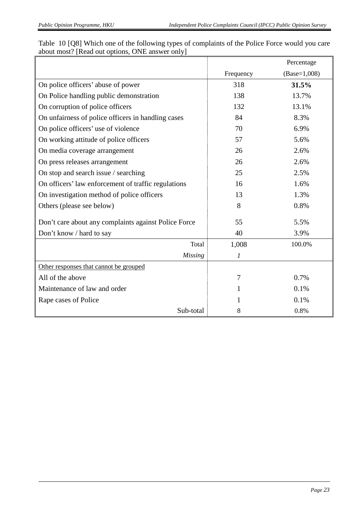|                                                      |           | Percentage     |
|------------------------------------------------------|-----------|----------------|
|                                                      | Frequency | $(Base=1,008)$ |
| On police officers' abuse of power                   | 318       | 31.5%          |
| On Police handling public demonstration              | 138       | 13.7%          |
| On corruption of police officers                     | 132       | 13.1%          |
| On unfairness of police officers in handling cases   | 84        | 8.3%           |
| On police officers' use of violence                  | 70        | 6.9%           |
| On working attitude of police officers               | 57        | 5.6%           |
| On media coverage arrangement                        | 26        | 2.6%           |
| On press releases arrangement                        | 26        | 2.6%           |
| On stop and search issue / searching                 | 25        | 2.5%           |
| On officers' law enforcement of traffic regulations  | 16        | 1.6%           |
| On investigation method of police officers           | 13        | 1.3%           |
| Others (please see below)                            | 8         | 0.8%           |
| Don't care about any complaints against Police Force | 55        | 5.5%           |
| Don't know / hard to say                             | 40        | 3.9%           |
| Total                                                | 1,008     | 100.0%         |
| <b>Missing</b>                                       | 1         |                |
| Other responses that cannot be grouped               |           |                |
| All of the above                                     | 7         | 0.7%           |
| Maintenance of law and order                         |           | 0.1%           |
| Rape cases of Police                                 |           | 0.1%           |
| Sub-total                                            | 8         | 0.8%           |

Table 10 [Q8] Which one of the following types of complaints of the Police Force would you care about most? [Read out options, ONE answer only]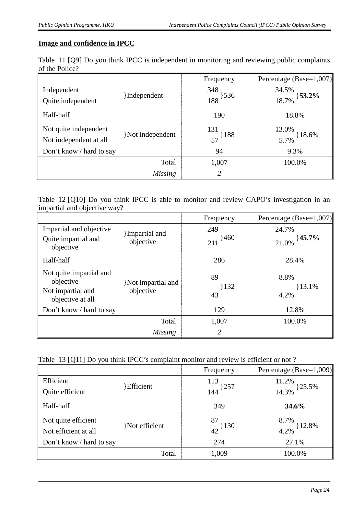#### **Image and confidence in IPCC**

|                |  |  |  | Table 11 [Q9] Do you think IPCC is independent in monitoring and reviewing public complaints |  |  |  |  |
|----------------|--|--|--|----------------------------------------------------------------------------------------------|--|--|--|--|
| of the Police? |  |  |  |                                                                                              |  |  |  |  |

|                          |                  | Frequency              | Percentage (Base=1,007) |
|--------------------------|------------------|------------------------|-------------------------|
| Independent              |                  | 348                    | 34.5%                   |
| Quite independent        | {Independent}    | $\frac{188}{188}$ }536 | $33.2\%$<br>18.7%       |
| Half-half                |                  | 190                    | 18.8%                   |
| Not quite independent    |                  | 131                    | 13.0%                   |
| Not independent at all   | }Not independent | $57^{188}$             | 5.7% } 18.6%            |
| Don't know / hard to say |                  | 94                     | 9.3%                    |
|                          | Total            | 1,007                  | 100.0%                  |
|                          | <b>Missing</b>   | 2                      |                         |

Table 12 [Q10] Do you think IPCC is able to monitor and review CAPO's investigation in an impartial and objective way?

|                                                                               |                                 | Frequency         | Percentage (Base= $1,007$ ) |
|-------------------------------------------------------------------------------|---------------------------------|-------------------|-----------------------------|
| Impartial and objective<br>Quite impartial and<br>objective                   | {Impartial and<br>objective     | 249<br>460<br>211 | 24.7%<br>145.7%<br>21.0%    |
| Half-half                                                                     |                                 | 286               | 28.4%                       |
| Not quite impartial and<br>objective<br>Not impartial and<br>objective at all | }Not impartial and<br>objective | 89<br>132<br>43   | 8.8%<br>13.1%<br>4.2%       |
| Don't know / hard to say                                                      |                                 | 129               | 12.8%                       |
|                                                                               | Total                           | 1,007             | 100.0%                      |
|                                                                               | Missing                         | 2                 |                             |

|  |  | Table 13 [Q11] Do you think IPCC's complaint monitor and review is efficient or not? |  |  |  |
|--|--|--------------------------------------------------------------------------------------|--|--|--|
|--|--|--------------------------------------------------------------------------------------|--|--|--|

|                          |                | Frequency  | Percentage (Base=1,009) |
|--------------------------|----------------|------------|-------------------------|
| Efficient                | }Efficient     | 113        | 11.2%                   |
| Quite efficient          |                | $144$ }257 | }25.5%<br>14.3%         |
| Half-half                |                | 349        | 34.6%                   |
| Not quite efficient      | }Not efficient | 87         | 8.7%                    |
| Not efficient at all     |                | 42 } 130   | 4.2% } 12.8%            |
| Don't know / hard to say |                | 274        | 27.1%                   |
|                          | Total          | 1,009      | 100.0%                  |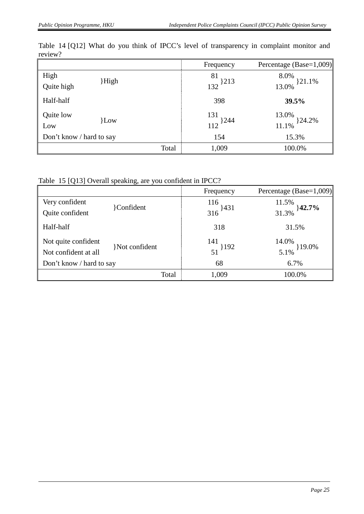|                          |       | Frequency           | Percentage (Base=1,009) |
|--------------------------|-------|---------------------|-------------------------|
| High                     |       | 81                  | 8.0%<br>321.1%          |
| Quite high               | High  | 132 <sup>}213</sup> | 13.0%                   |
| Half-half                |       | 398                 | 39.5%                   |
| Quite low                | }Low  | 131                 | 13.0%<br>}24.2%         |
| Low                      |       | $112$ }244          | 11.1%                   |
| Don't know / hard to say |       | 154                 | 15.3%                   |
|                          | Total | 1,009               | 100.0%                  |

Table 14 [Q12] What do you think of IPCC's level of transparency in complaint monitor and review?

Table 15 [Q13] Overall speaking, are you confident in IPCC?

|                                                  |                | Frequency         | Percentage (Base=1,009)   |
|--------------------------------------------------|----------------|-------------------|---------------------------|
| Very confident                                   |                | 116               | 11.5%                     |
| Quite confident                                  | Confident      | $316$ }431        | $}42.7\%$<br>31.3%        |
| Half-half                                        |                | 318               | 31.5%                     |
| Not quite confident                              | }Not confident | 141<br>$51$ } 192 | 14.0%<br>$19.0\%$<br>5.1% |
| Not confident at all<br>Don't know / hard to say |                | 68                | 6.7%                      |
|                                                  |                |                   |                           |
|                                                  | Total          | 1,009             | 100.0%                    |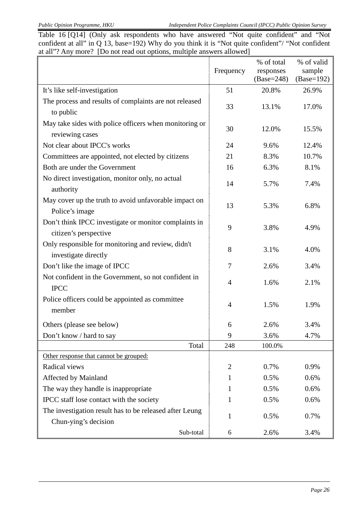Table 16 [Q14] (Only ask respondents who have answered "Not quite confident" and "Not confident at all" in Q 13, base=192) Why do you think it is "Not quite confident"/ "Not confident at all"? Any more? [Do not read out options, multiple answers allowed]

|                                                         |                | % of total   | % of valid   |
|---------------------------------------------------------|----------------|--------------|--------------|
|                                                         | Frequency      | responses    | sample       |
|                                                         |                | $(Base=248)$ | $(Base=192)$ |
| It's like self-investigation                            | 51             | 20.8%        | 26.9%        |
| The process and results of complaints are not released  | 33             | 13.1%        | 17.0%        |
| to public                                               |                |              |              |
| May take sides with police officers when monitoring or  | 30             | 12.0%        | 15.5%        |
| reviewing cases                                         |                |              |              |
| Not clear about IPCC's works                            | 24             | 9.6%         | 12.4%        |
| Committees are appointed, not elected by citizens       | 21             | 8.3%         | 10.7%        |
| Both are under the Government                           | 16             | 6.3%         | 8.1%         |
| No direct investigation, monitor only, no actual        | 14             | 5.7%         | 7.4%         |
| authority                                               |                |              |              |
| May cover up the truth to avoid unfavorable impact on   | 13             | 5.3%         | 6.8%         |
| Police's image                                          |                |              |              |
| Don't think IPCC investigate or monitor complaints in   | 9              | 3.8%         | 4.9%         |
| citizen's perspective                                   |                |              |              |
| Only responsible for monitoring and review, didn't      | 8              | 3.1%         | 4.0%         |
| investigate directly                                    |                |              |              |
| Don't like the image of IPCC                            | 7              | 2.6%         | 3.4%         |
| Not confident in the Government, so not confident in    |                |              |              |
| <b>IPCC</b>                                             | 4              | 1.6%         | 2.1%         |
| Police officers could be appointed as committee         |                |              |              |
| member                                                  | $\overline{4}$ | 1.5%         | 1.9%         |
| Others (please see below)                               | 6              | 2.6%         | 3.4%         |
| Don't know / hard to say                                | 9              | 3.6%         | 4.7%         |
| Total                                                   | 248            | 100.0%       |              |
| Other response that cannot be grouped:                  |                |              |              |
| Radical views                                           | $\overline{2}$ | 0.7%         | 0.9%         |
| Affected by Mainland                                    | 1              | 0.5%         | 0.6%         |
| The way they handle is inappropriate                    | 1              | 0.5%         | 0.6%         |
| IPCC staff lose contact with the society                | 1              | 0.5%         | 0.6%         |
| The investigation result has to be released after Leung |                |              |              |
| Chun-ying's decision                                    | $\mathbf{1}$   | 0.5%         | 0.7%         |
| Sub-total                                               | 6              | 2.6%         | 3.4%         |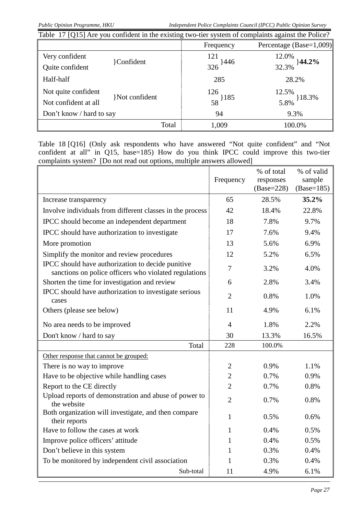| Table 17 [Q15] Are you confident in the existing two-tier system of complaints against the Police? |                         |            |                                |  |  |  |  |  |
|----------------------------------------------------------------------------------------------------|-------------------------|------------|--------------------------------|--|--|--|--|--|
|                                                                                                    | Percentage (Base=1,009) |            |                                |  |  |  |  |  |
| Very confident                                                                                     |                         | 121        | 12.0%                          |  |  |  |  |  |
| Quite confident                                                                                    | <b>Confident</b>        | $326$ }446 | $44.2\%$<br>32.3%              |  |  |  |  |  |
| Half-half                                                                                          |                         | 285        | 28.2%                          |  |  |  |  |  |
| Not quite confident                                                                                | Not confident           | 126        | $\frac{12.5\%}{5.8\%}$ } 18.3% |  |  |  |  |  |
| Not confident at all                                                                               |                         | 58 } 185   |                                |  |  |  |  |  |
| Don't know / hard to say                                                                           |                         | 94         | 9.3%                           |  |  |  |  |  |
|                                                                                                    | Total                   | 1,009      | 100.0%                         |  |  |  |  |  |

Table 18 [Q16] (Only ask respondents who have answered "Not quite confident" and "Not confident at all" in Q15, base=185) How do you think IPCC could improve this two-tier complaints system? [Do not read out options, multiple answers allowed]

|                                                                                                            | Frequency      | % of total<br>responses<br>$(Base=228)$ | % of valid<br>sample<br>$(Base=185)$ |
|------------------------------------------------------------------------------------------------------------|----------------|-----------------------------------------|--------------------------------------|
| Increase transparency                                                                                      | 65             | 28.5%                                   | 35.2%                                |
| Involve individuals from different classes in the process                                                  | 42             | 18.4%                                   | 22.8%                                |
| IPCC should become an independent department                                                               | 18             | 7.8%                                    | 9.7%                                 |
| IPCC should have authorization to investigate                                                              | 17             | 7.6%                                    | 9.4%                                 |
| More promotion                                                                                             | 13             | 5.6%                                    | 6.9%                                 |
| Simplify the monitor and review procedures                                                                 | 12             | 5.2%                                    | 6.5%                                 |
| IPCC should have authorization to decide punitive<br>sanctions on police officers who violated regulations | $\overline{7}$ | 3.2%                                    | 4.0%                                 |
| Shorten the time for investigation and review                                                              | 6              | 2.8%                                    | 3.4%                                 |
| IPCC should have authorization to investigate serious<br>cases                                             | $\overline{2}$ | 0.8%                                    | 1.0%                                 |
| Others (please see below)                                                                                  | 11             | 4.9%                                    | 6.1%                                 |
| No area needs to be improved                                                                               | $\overline{4}$ | 1.8%                                    | 2.2%                                 |
| Don't know / hard to say                                                                                   | 30             | 13.3%                                   | 16.5%                                |
| Total                                                                                                      | 228            | 100.0%                                  |                                      |
| Other response that cannot be grouped:                                                                     |                |                                         |                                      |
| There is no way to improve                                                                                 | $\overline{2}$ | 0.9%                                    | 1.1%                                 |
| Have to be objective while handling cases                                                                  | $\overline{2}$ | 0.7%                                    | 0.9%                                 |
| Report to the CE directly                                                                                  | $\overline{2}$ | 0.7%                                    | 0.8%                                 |
| Upload reports of demonstration and abuse of power to<br>the website                                       | $\overline{2}$ | 0.7%                                    | 0.8%                                 |
| Both organization will investigate, and then compare<br>their reports                                      | 1              | 0.5%                                    | 0.6%                                 |
| Have to follow the cases at work                                                                           | 1              | 0.4%                                    | 0.5%                                 |
| Improve police officers' attitude                                                                          | 1              | 0.4%                                    | 0.5%                                 |
| Don't believe in this system                                                                               | 1              | 0.3%                                    | 0.4%                                 |
| To be monitored by independent civil association                                                           | 1              | 0.3%                                    | 0.4%                                 |
| Sub-total                                                                                                  | 11             | 4.9%                                    | 6.1%                                 |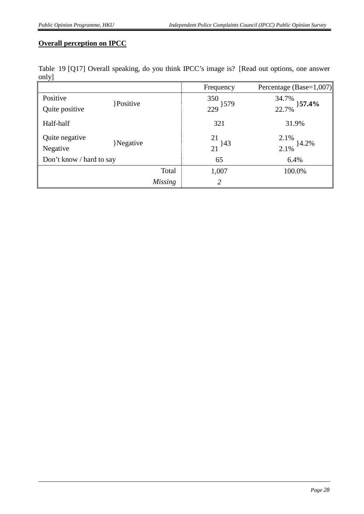#### **Overall perception on IPCC**

|      |  |  |  | Table 19 [Q17] Overall speaking, do you think IPCC's image is? [Read out options, one answer |  |  |  |
|------|--|--|--|----------------------------------------------------------------------------------------------|--|--|--|
| only |  |  |  |                                                                                              |  |  |  |

|                          |                | Frequency  | Percentage (Base=1,007)     |
|--------------------------|----------------|------------|-----------------------------|
| Positive                 | Positive       | 350        | 34.7%<br>$\}57.4\%$         |
| Quite positive           |                | $229$ 3579 | 22.7%                       |
| Half-half                |                | 321        | 31.9%                       |
| Quite negative           |                | 21         |                             |
| Negative                 | }Negative      | $21^{143}$ | $\frac{2.1\%}{2.1\%}$ }4.2% |
| Don't know / hard to say |                | 65         | 6.4%                        |
|                          | Total          | 1,007      | 100.0%                      |
|                          | <b>Missing</b> | 2          |                             |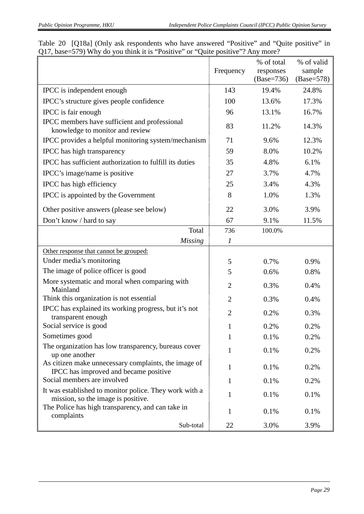|  | Table 20 [Q18a] (Only ask respondents who have answered "Positive" and "Quite positive" in |  |  |  |  |
|--|--------------------------------------------------------------------------------------------|--|--|--|--|
|  | Q17, base=579) Why do you think it is "Positive" or "Quite positive"? Any more?            |  |  |  |  |

|                                                                                               | Frequency      | % of total<br>responses<br>$(Base=736)$ | % of valid<br>sample<br>$(Base=578)$ |
|-----------------------------------------------------------------------------------------------|----------------|-----------------------------------------|--------------------------------------|
| IPCC is independent enough                                                                    | 143            | 19.4%                                   | 24.8%                                |
| IPCC's structure gives people confidence                                                      | 100            | 13.6%                                   | 17.3%                                |
| IPCC is fair enough                                                                           | 96             | 13.1%                                   | 16.7%                                |
| IPCC members have sufficient and professional<br>knowledge to monitor and review              | 83             | 11.2%                                   | 14.3%                                |
| IPCC provides a helpful monitoring system/mechanism                                           | 71             | 9.6%                                    | 12.3%                                |
| IPCC has high transparency                                                                    | 59             | 8.0%                                    | 10.2%                                |
| IPCC has sufficient authorization to fulfill its duties                                       | 35             | 4.8%                                    | 6.1%                                 |
| IPCC's image/name is positive                                                                 | 27             | 3.7%                                    | 4.7%                                 |
| IPCC has high efficiency                                                                      | 25             | 3.4%                                    | 4.3%                                 |
| IPCC is appointed by the Government                                                           | 8              | 1.0%                                    | 1.3%                                 |
| Other positive answers (please see below)                                                     | 22             | 3.0%                                    | 3.9%                                 |
| Don't know / hard to say                                                                      | 67             | 9.1%                                    | 11.5%                                |
| Total                                                                                         | 736            | 100.0%                                  |                                      |
| <b>Missing</b>                                                                                | 1              |                                         |                                      |
| Other response that cannot be grouped:                                                        |                |                                         |                                      |
| Under media's monitoring                                                                      | 5              | 0.7%                                    | 0.9%                                 |
| The image of police officer is good                                                           | 5              | 0.6%                                    | 0.8%                                 |
| More systematic and moral when comparing with<br>Mainland                                     | $\overline{2}$ | 0.3%                                    | 0.4%                                 |
| Think this organization is not essential                                                      | $\overline{2}$ | 0.3%                                    | 0.4%                                 |
| IPCC has explained its working progress, but it's not<br>transparent enough                   | $\overline{2}$ | 0.2%                                    | 0.3%                                 |
| Social service is good                                                                        | $\mathbf{1}$   | 0.2%                                    | 0.2%                                 |
| Sometimes good                                                                                | 1              | 0.1%                                    | 0.2%                                 |
| The organization has low transparency, bureaus cover<br>up one another                        | 1              | 0.1%                                    | 0.2%                                 |
| As citizen make unnecessary complaints, the image of<br>IPCC has improved and became positive | $\mathbf{1}$   | 0.1%                                    | 0.2%                                 |
| Social members are involved                                                                   | 1              | 0.1%                                    | 0.2%                                 |
| It was established to monitor police. They work with a<br>mission, so the image is positive.  | 1              | 0.1%                                    | 0.1%                                 |
| The Police has high transparency, and can take in<br>complaints                               | 1              | 0.1%                                    | 0.1%                                 |
| Sub-total                                                                                     | 22             | 3.0%                                    | 3.9%                                 |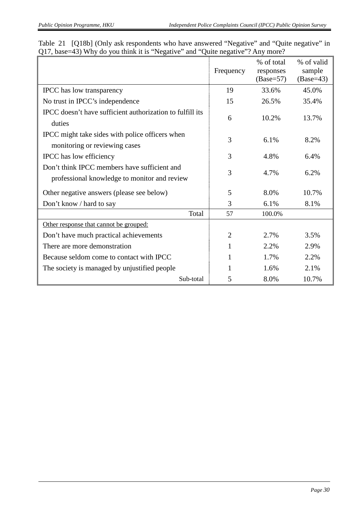| $\chi_1$ , $\chi_2$ , $\chi_3$ , $\chi_4$ , $\chi_5$ , $\chi_6$ , $\chi_7$ , $\chi_8$ , $\chi_9$ , $\chi_1$ , $\chi_2$ , $\chi_3$ , $\chi_4$ , $\chi_5$ , $\chi_6$ , $\chi_7$ , $\chi_8$ , $\chi_9$ , $\chi_9$ , $\chi_9$ , $\chi_9$ , $\chi_9$ , $\chi_9$ , $\chi_9$ , $\chi_9$ |                |                                        |                                     |
|----------------------------------------------------------------------------------------------------------------------------------------------------------------------------------------------------------------------------------------------------------------------------------|----------------|----------------------------------------|-------------------------------------|
|                                                                                                                                                                                                                                                                                  | Frequency      | % of total<br>responses<br>$(Base=57)$ | % of valid<br>sample<br>$(Base=43)$ |
| <b>IPCC</b> has low transparency                                                                                                                                                                                                                                                 | 19             | 33.6%                                  | 45.0%                               |
| No trust in IPCC's independence                                                                                                                                                                                                                                                  | 15             | 26.5%                                  | 35.4%                               |
| IPCC doesn't have sufficient authorization to fulfill its<br>duties                                                                                                                                                                                                              | 6              | 10.2%                                  | 13.7%                               |
| IPCC might take sides with police officers when<br>monitoring or reviewing cases                                                                                                                                                                                                 | 3              | 6.1%                                   | 8.2%                                |
| IPCC has low efficiency                                                                                                                                                                                                                                                          | 3              | 4.8%                                   | 6.4%                                |
| Don't think IPCC members have sufficient and<br>professional knowledge to monitor and review                                                                                                                                                                                     | 3              | 4.7%                                   | 6.2%                                |
| Other negative answers (please see below)                                                                                                                                                                                                                                        | 5              | 8.0%                                   | 10.7%                               |
| Don't know / hard to say                                                                                                                                                                                                                                                         | 3              | 6.1%                                   | 8.1%                                |
| Total                                                                                                                                                                                                                                                                            | 57             | 100.0%                                 |                                     |
| Other response that cannot be grouped:                                                                                                                                                                                                                                           |                |                                        |                                     |
| Don't have much practical achievements                                                                                                                                                                                                                                           | $\overline{2}$ | 2.7%                                   | 3.5%                                |
| There are more demonstration                                                                                                                                                                                                                                                     | 1              | 2.2%                                   | 2.9%                                |
| Because seldom come to contact with IPCC                                                                                                                                                                                                                                         | 1              | 1.7%                                   | 2.2%                                |
| The society is managed by unjustified people                                                                                                                                                                                                                                     |                | 1.6%                                   | 2.1%                                |
| Sub-total                                                                                                                                                                                                                                                                        | 5              | 8.0%                                   | 10.7%                               |

|  | Table 21 [Q18b] (Only ask respondents who have answered "Negative" and "Quite negative" in |  |  |  |
|--|--------------------------------------------------------------------------------------------|--|--|--|
|  | Q17, base=43) Why do you think it is "Negative" and "Quite negative"? Any more?            |  |  |  |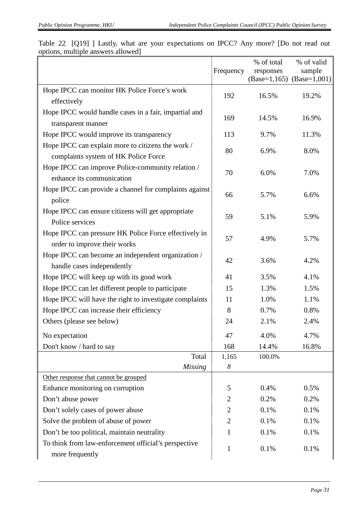|                                                                                       |                  | % of total | % of valid                    |
|---------------------------------------------------------------------------------------|------------------|------------|-------------------------------|
|                                                                                       | Frequency        | responses  | sample                        |
|                                                                                       |                  |            | $(Base=1,165)$ $(Base=1,001)$ |
| Hope IPCC can monitor HK Police Force's work<br>effectively                           | 192              | 16.5%      | 19.2%                         |
| Hope IPCC would handle cases in a fair, impartial and                                 | 169              | 14.5%      | 16.9%                         |
| transparent manner                                                                    |                  |            |                               |
| Hope IPCC would improve its transparency                                              | 113              | 9.7%       | 11.3%                         |
| Hope IPCC can explain more to citizens the work /                                     | 80               | 6.9%       | 8.0%                          |
| complaints system of HK Police Force                                                  |                  |            |                               |
| Hope IPCC can improve Police-community relation /<br>enhance its communication        | 70               | 6.0%       | 7.0%                          |
| Hope IPCC can provide a channel for complaints against<br>police                      | 66               | 5.7%       | 6.6%                          |
| Hope IPCC can ensure citizens will get appropriate<br>Police services                 | 59               | 5.1%       | 5.9%                          |
| Hope IPCC can pressure HK Police Force effectively in<br>order to improve their works | 57               | 4.9%       | 5.7%                          |
| Hope IPCC can become an independent organization /<br>handle cases independently      | 42               | 3.6%       | 4.2%                          |
| Hope IPCC will keep up with its good work                                             | 41               | 3.5%       | 4.1%                          |
| Hope IPCC can let different people to participate                                     | 15               | 1.3%       | 1.5%                          |
| Hope IPCC will have the right to investigate complaints                               | 11               | 1.0%       | 1.1%                          |
| Hope IPCC can increase their efficiency                                               | 8                | 0.7%       | 0.8%                          |
| Others (please see below)                                                             | 24               | 2.1%       | 2.4%                          |
| No expectation                                                                        | 47               | 4.0%       | 4.7%                          |
| Don't know / hard to say                                                              | 168              | 14.4%      | 16.8%                         |
| Total                                                                                 | 1,165            | 100.0%     |                               |
| <b>Missing</b>                                                                        | $\boldsymbol{8}$ |            |                               |
| Other response that cannot be grouped                                                 |                  |            |                               |
| Enhance monitoring on corruption                                                      | 5                | 0.4%       | 0.5%                          |
| Don't abuse power                                                                     | $\overline{2}$   | 0.2%       | 0.2%                          |
| Don't solely cases of power abuse                                                     | $\overline{2}$   | 0.1%       | 0.1%                          |
| Solve the problem of abuse of power                                                   | $\overline{2}$   | 0.1%       | 0.1%                          |
| Don't be too political, maintain neutrality                                           | 1                | 0.1%       | 0.1%                          |
| To think from law-enforcement official's perspective<br>more frequently               | $\mathbf{1}$     | 0.1%       | 0.1%                          |

| Table 22 [Q19] Lastly, what are your expectations on IPCC? Any more? [Do not read out |  |  |  |  |  |  |
|---------------------------------------------------------------------------------------|--|--|--|--|--|--|
| options, multiple answers allowed                                                     |  |  |  |  |  |  |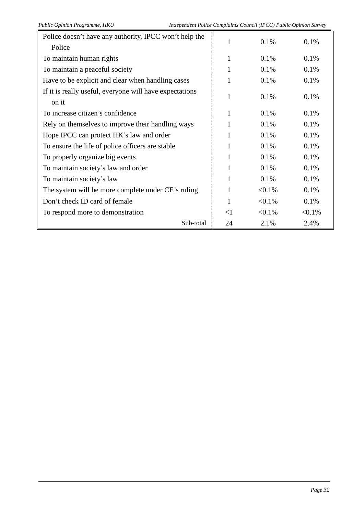| Police doesn't have any authority, IPCC won't help the           |       | 0.1%      | 0.1%      |
|------------------------------------------------------------------|-------|-----------|-----------|
| Police                                                           |       |           |           |
| To maintain human rights                                         |       | 0.1%      | 0.1%      |
| To maintain a peaceful society                                   |       | 0.1%      | 0.1%      |
| Have to be explicit and clear when handling cases                |       | 0.1%      | 0.1%      |
| If it is really useful, everyone will have expectations<br>on it |       | 0.1%      | 0.1%      |
| To increase citizen's confidence                                 |       | 0.1%      | 0.1%      |
| Rely on themselves to improve their handling ways                |       | 0.1%      | 0.1%      |
| Hope IPCC can protect HK's law and order                         |       | 0.1%      | 0.1%      |
| To ensure the life of police officers are stable                 |       | 0.1%      | 0.1%      |
| To properly organize big events                                  |       | 0.1%      | 0.1%      |
| To maintain society's law and order                              |       | 0.1%      | 0.1%      |
| To maintain society's law                                        | 1     | 0.1%      | 0.1%      |
| The system will be more complete under CE's ruling               | 1     | $< 0.1\%$ | 0.1%      |
| Don't check ID card of female                                    |       | $< 0.1\%$ | 0.1%      |
| To respond more to demonstration                                 | $<$ 1 | $< 0.1\%$ | $< 0.1\%$ |
| Sub-total                                                        | 24    | 2.1%      | 2.4%      |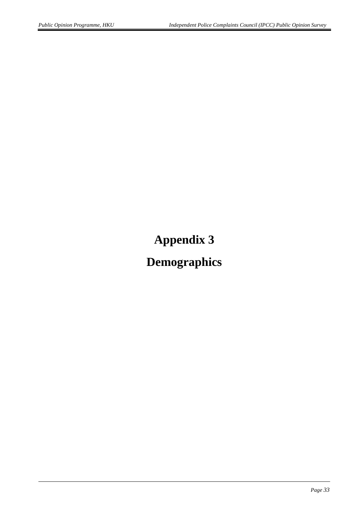# **Appendix 3**

# **Demographics**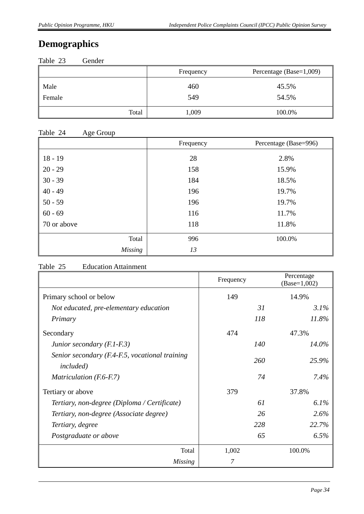## **Demographics**

|        | Percentage (Base=1,009)<br>Frequency |        |
|--------|--------------------------------------|--------|
| Male   | 460                                  | 45.5%  |
| Female | 549                                  | 54.5%  |
| Total  | 1,009                                | 100.0% |

#### Table 24 Age Group

| $\check{ }$<br>$\overline{\phantom{a}}$ | Frequency | Percentage (Base=996) |
|-----------------------------------------|-----------|-----------------------|
| $18 - 19$                               | 28        | 2.8%                  |
| $20 - 29$                               | 158       | 15.9%                 |
| $30 - 39$                               | 184       | 18.5%                 |
| $40 - 49$                               | 196       | 19.7%                 |
| $50 - 59$                               | 196       | 19.7%                 |
| $60 - 69$                               | 116       | 11.7%                 |
| 70 or above                             | 118       | 11.8%                 |
| Total                                   | 996       | 100.0%                |
| <b>Missing</b>                          | 13        |                       |

#### Table 25 Education Attainment

|                                                                     | Frequency | Percentage<br>$(Base=1,002)$ |
|---------------------------------------------------------------------|-----------|------------------------------|
| Primary school or below                                             | 149       | 14.9%                        |
| Not educated, pre-elementary education                              |           | 31<br>3.1%                   |
| Primary                                                             | 118       | 11.8%                        |
| Secondary                                                           | 474       | 47.3%                        |
| Junior secondary $(F.1-F.3)$                                        | 140       | 14.0%                        |
| Senior secondary (F.4-F.5, vocational training<br><i>included</i> ) | 260       | 25.9%                        |
| Matriculation (F.6-F.7)                                             |           | 74<br>7.4%                   |
| Tertiary or above                                                   | 379       | 37.8%                        |
| Tertiary, non-degree (Diploma / Certificate)                        | 61        | 6.1%                         |
| Tertiary, non-degree (Associate degree)                             |           | 2.6%<br>26                   |
| Tertiary, degree                                                    | 228       | 22.7%                        |
| Postgraduate or above                                               | 65        | 6.5%                         |
| Total                                                               | 1,002     | 100.0%                       |
| <b>Missing</b>                                                      | 7         |                              |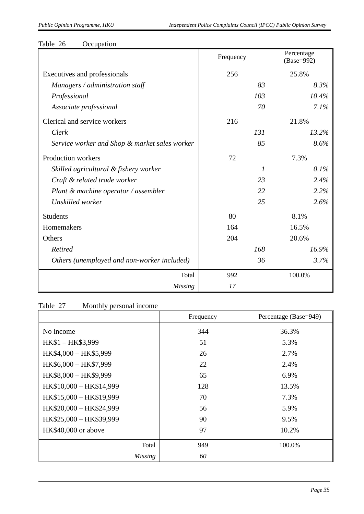| Table 26 |  | Occupation |
|----------|--|------------|
|----------|--|------------|

|                                               | Frequency |     | Percentage<br>(Base=992) |
|-----------------------------------------------|-----------|-----|--------------------------|
| Executives and professionals                  | 256       |     | 25.8%                    |
| Managers / administration staff               |           | 83  | 8.3%                     |
| Professional                                  |           | 103 | 10.4%                    |
| Associate professional                        |           | 70  | 7.1%                     |
| Clerical and service workers                  | 216       |     | 21.8%                    |
| Clerk                                         |           | 131 | 13.2%                    |
| Service worker and Shop & market sales worker |           | 85  | 8.6%                     |
| Production workers                            | 72        |     | 7.3%                     |
| Skilled agricultural & fishery worker         |           | 1   | 0.1%                     |
| Craft & related trade worker                  |           | 23  | 2.4%                     |
| Plant & machine operator / assembler          |           | 22  | 2.2%                     |
| Unskilled worker                              |           | 25  | 2.6%                     |
| <b>Students</b>                               | 80        |     | 8.1%                     |
| Homemakers                                    | 164       |     | 16.5%                    |
| Others                                        | 204       |     | 20.6%                    |
| <b>Retired</b>                                |           | 168 | 16.9%                    |
| Others (unemployed and non-worker included)   |           | 36  | 3.7%                     |
| Total                                         | 992       |     | 100.0%                   |
| <b>Missing</b>                                | 17        |     |                          |

## Table 27 Monthly personal income

|                         | Frequency | Percentage (Base=949) |
|-------------------------|-----------|-----------------------|
| No income               | 344       | 36.3%                 |
| HK\$1-HK\$3,999         | 51        | 5.3%                  |
| HK\$4,000 - HK\$5,999   | 26        | 2.7%                  |
| HK\$6,000 - HK\$7,999   | 22        | 2.4%                  |
| HK\$8,000 - HK\$9,999   | 65        | 6.9%                  |
| HK\$10,000 - HK\$14,999 | 128       | 13.5%                 |
| HK\$15,000 - HK\$19,999 | 70        | 7.3%                  |
| HK\$20,000 - HK\$24,999 | 56        | 5.9%                  |
| HK\$25,000 - HK\$39,999 | 90        | 9.5%                  |
| HK\$40,000 or above     | 97        | 10.2%                 |
| Total                   | 949       | 100.0%                |
| <b>Missing</b>          | 60        |                       |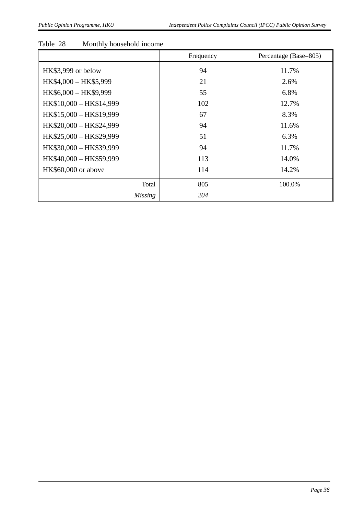#### Table 28 Monthly household income

|                         | Frequency | Percentage (Base=805) |
|-------------------------|-----------|-----------------------|
| HK\$3,999 or below      | 94        | 11.7%                 |
| HK\$4,000 - HK\$5,999   | 21        | 2.6%                  |
| HK\$6,000 - HK\$9,999   | 55        | 6.8%                  |
| HK\$10,000 - HK\$14,999 | 102       | 12.7%                 |
| HK\$15,000 - HK\$19,999 | 67        | 8.3%                  |
| HK\$20,000 - HK\$24,999 | 94        | 11.6%                 |
| HK\$25,000 - HK\$29,999 | 51        | 6.3%                  |
| HK\$30,000 - HK\$39,999 | 94        | 11.7%                 |
| HK\$40,000 - HK\$59,999 | 113       | 14.0%                 |
| HK\$60,000 or above     | 114       | 14.2%                 |
| Total                   | 805       | 100.0%                |
| <b>Missing</b>          | 204       |                       |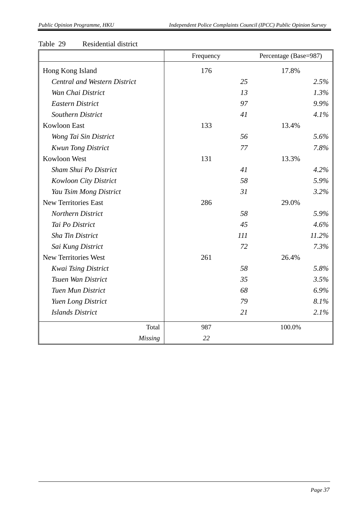#### Table 29 Residential district

|                                     | Frequency | Percentage (Base=987) |
|-------------------------------------|-----------|-----------------------|
| Hong Kong Island                    | 176       | 17.8%                 |
| <b>Central and Western District</b> | 25        | 2.5%                  |
| Wan Chai District                   | 13        | 1.3%                  |
| Eastern District                    | 97        | 9.9%                  |
| <b>Southern District</b>            | 41        | 4.1%                  |
| Kowloon East                        | 133       | 13.4%                 |
| Wong Tai Sin District               | 56        | 5.6%                  |
| <b>Kwun Tong District</b>           | 77        | 7.8%                  |
| Kowloon West                        | 131       | 13.3%                 |
| Sham Shui Po District               | 41        | 4.2%                  |
| <b>Kowloon City District</b>        | 58        | 5.9%                  |
| Yau Tsim Mong District              | 31        | 3.2%                  |
| <b>New Territories East</b>         | 286       | 29.0%                 |
| Northern District                   | 58        | 5.9%                  |
| Tai Po District                     | 45        | 4.6%                  |
| Sha Tin District                    | 111       | 11.2%                 |
| Sai Kung District                   | 72        | 7.3%                  |
| New Territories West                | 261       | 26.4%                 |
| <b>Kwai Tsing District</b>          | 58        | 5.8%                  |
| Tsuen Wan District                  | 35        | 3.5%                  |
| <b>Tuen Mun District</b>            | 68        | 6.9%                  |
| Yuen Long District                  | 79        | 8.1%                  |
| <b>Islands District</b>             | 21        | 2.1%                  |
| Total                               | 987       | 100.0%                |
| <b>Missing</b>                      | 22        |                       |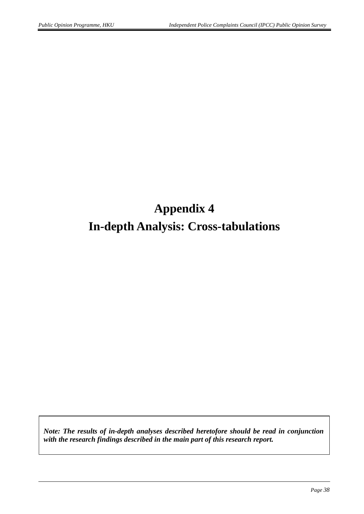# **Appendix 4 In-depth Analysis: Cross-tabulations**

*Note: The results of in-depth analyses described heretofore should be read in conjunction with the research findings described in the main part of this research report.*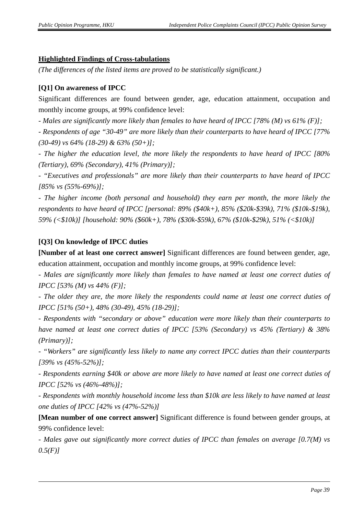#### **Highlighted Findings of Cross-tabulations**

*(The differences of the listed items are proved to be statistically significant.)*

#### **[Q1] On awareness of IPCC**

Significant differences are found between gender, age, education attainment, occupation and monthly income groups, at 99% confidence level:

*- Males are significantly more likely than females to have heard of IPCC [78% (M) vs 61% (F)];*

*- Respondents of age "30-49" are more likely than their counterparts to have heard of IPCC [77% (30-49) vs 64% (18-29) & 63% (50+)];*

*- The higher the education level, the more likely the respondents to have heard of IPCC [80% (Tertiary), 69% (Secondary), 41% (Primary)];*

*- "Executives and professionals" are more likely than their counterparts to have heard of IPCC [85% vs (55%-69%)];*

*- The higher income (both personal and household) they earn per month, the more likely the respondents to have heard of IPCC [personal: 89% (\$40k+), 85% (\$20k-\$39k), 71% (\$10k-\$19k), 59% (<\$10k)] [household: 90% (\$60k+), 78% (\$30k-\$59k), 67% (\$10k-\$29k), 51% (<\$10k)]*

#### **[Q3] On knowledge of IPCC duties**

**[Number of at least one correct answer]** Significant differences are found between gender, age, education attainment, occupation and monthly income groups, at 99% confidence level:

- *Males are significantly more likely than females to have named at least one correct duties of IPCC [53% (M) vs 44% (F)];*

*- The older they are, the more likely the respondents could name at least one correct duties of IPCC [51% (50+), 48% (30-49), 45% (18-29)];*

*- Respondents with "secondary or above" education were more likely than their counterparts to have named at least one correct duties of IPCC [53% (Secondary) vs 45% (Tertiary) & 38% (Primary)];*

*- "Workers" are significantly less likely to name any correct IPCC duties than their counterparts [39% vs (45%-52%)];*

*- Respondents earning \$40k or above are more likely to have named at least one correct duties of IPCC [52% vs (46%-48%)];*

*- Respondents with monthly household income less than \$10k are less likely to have named at least one duties of IPCC [42% vs (47%-52%)]*

**[Mean number of one correct answer]** Significant difference is found between gender groups, at 99% confidence level:

*- Males gave out significantly more correct duties of IPCC than females on average [0.7(M) vs 0.5(F)]*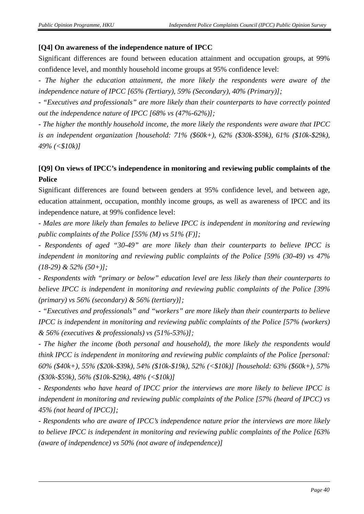#### **[Q4] On awareness of the independence nature of IPCC**

Significant differences are found between education attainment and occupation groups, at 99% confidence level, and monthly household income groups at 95% confidence level:

*- The higher the education attainment, the more likely the respondents were aware of the independence nature of IPCC [65% (Tertiary), 59% (Secondary), 40% (Primary)];*

*- "Executives and professionals" are more likely than their counterparts to have correctly pointed out the independence nature of IPCC [68% vs (47%-62%)];*

*- The higher the monthly household income, the more likely the respondents were aware that IPCC is an independent organization [household: 71% (\$60k+), 62% (\$30k-\$59k), 61% (\$10k-\$29k), 49% (<\$10k)]*

#### **[Q9] On views of IPCC's independence in monitoring and reviewing public complaints of the Police**

Significant differences are found between genders at 95% confidence level, and between age, education attainment, occupation, monthly income groups, as well as awareness of IPCC and its independence nature, at 99% confidence level:

*- Males are more likely than females to believe IPCC is independent in monitoring and reviewing public complaints of the Police [55% (M) vs 51% (F)];*

*- Respondents of aged "30-49" are more likely than their counterparts to believe IPCC is independent in monitoring and reviewing public complaints of the Police [59% (30-49) vs 47% (18-29) & 52% (50+)];*

*- Respondents with "primary or below" education level are less likely than their counterparts to believe IPCC is independent in monitoring and reviewing public complaints of the Police [39% (primary) vs 56% (secondary) & 56% (tertiary)];*

*- "Executives and professionals" and "workers" are more likely than their counterparts to believe IPCC is independent in monitoring and reviewing public complaints of the Police [57% (workers) & 56% (executives & professionals) vs (51%-53%)];*

*- The higher the income (both personal and household), the more likely the respondents would think IPCC is independent in monitoring and reviewing public complaints of the Police [personal: 60% (\$40k+), 55% (\$20k-\$39k), 54% (\$10k-\$19k), 52% (<\$10k)] [household: 63% (\$60k+), 57% (\$30k-\$59k), 56% (\$10k-\$29k), 48% (<\$10k)]*

*- Respondents who have heard of IPCC prior the interviews are more likely to believe IPCC is independent in monitoring and reviewing public complaints of the Police [57% (heard of IPCC) vs 45% (not heard of IPCC)];*

*- Respondents who are aware of IPCC's independence nature prior the interviews are more likely to believe IPCC is independent in monitoring and reviewing public complaints of the Police [63% (aware of independence) vs 50% (not aware of independence)]*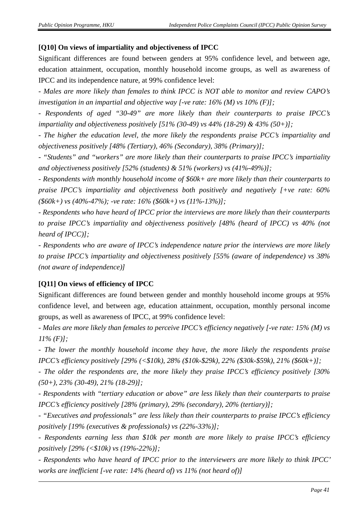#### **[Q10] On views of impartiality and objectiveness of IPCC**

Significant differences are found between genders at 95% confidence level, and between age, education attainment, occupation, monthly household income groups, as well as awareness of IPCC and its independence nature, at 99% confidence level:

*- Males are more likely than females to think IPCC is NOT able to monitor and review CAPO's investigation in an impartial and objective way [-ve rate: 16% (M) vs 10% (F)];*

*- Respondents of aged "30-49" are more likely than their counterparts to praise IPCC's impartiality and objectiveness positively [51% (30-49) vs 44% (18-29) & 43% (50+)];*

*- The higher the education level, the more likely the respondents praise PCC's impartiality and objectiveness positively [48% (Tertiary), 46% (Secondary), 38% (Primary)];*

*- "Students" and "workers" are more likely than their counterparts to praise IPCC's impartiality and objectiveness positively [52% (students) & 51% (workers) vs (41%-49%)];*

*- Respondents with monthly household income of \$60k+ are more likely than their counterparts to praise IPCC's impartiality and objectiveness both positively and negatively [+ve rate: 60% (\$60k+) vs (40%-47%); -ve rate: 16% (\$60k+) vs (11%-13%)];*

*- Respondents who have heard of IPCC prior the interviews are more likely than their counterparts to praise IPCC's impartiality and objectiveness positively [48% (heard of IPCC) vs 40% (not heard of IPCC)];*

*- Respondents who are aware of IPCC's independence nature prior the interviews are more likely to praise IPCC's impartiality and objectiveness positively [55% (aware of independence) vs 38% (not aware of independence)]*

#### **[Q11] On views of efficiency of IPCC**

Significant differences are found between gender and monthly household income groups at 95% confidence level, and between age, education attainment, occupation, monthly personal income groups, as well as awareness of IPCC, at 99% confidence level:

*- Males are more likely than females to perceive IPCC's efficiency negatively [-ve rate: 15% (M) vs 11% (F)];*

*- The lower the monthly household income they have, the more likely the respondents praise IPCC's efficiency positively [29% (<\$10k), 28% (\$10k-\$29k), 22% (\$30k-\$59k), 21% (\$60k+)];*

*- The older the respondents are, the more likely they praise IPCC's efficiency positively [30% (50+), 23% (30-49), 21% (18-29)];*

*- Respondents with "tertiary education or above" are less likely than their counterparts to praise IPCC's efficiency positively [28% (primary), 29% (secondary), 20% (tertiary)];*

*- "Executives and professionals" are less likely than their counterparts to praise IPCC's efficiency positively [19% (executives & professionals) vs (22%-33%)];*

*- Respondents earning less than \$10k per month are more likely to praise IPCC's efficiency positively [29% (<\$10k) vs (19%-22%)];*

*- Respondents who have heard of IPCC prior to the interviewers are more likely to think IPCC' works are inefficient [-ve rate: 14% (heard of) vs 11% (not heard of)]*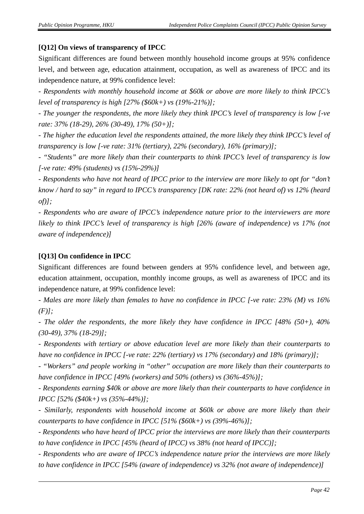#### **[Q12] On views of transparency of IPCC**

Significant differences are found between monthly household income groups at 95% confidence level, and between age, education attainment, occupation, as well as awareness of IPCC and its independence nature, at 99% confidence level:

*- Respondents with monthly household income at \$60k or above are more likely to think IPCC's level of transparency is high [27% (\$60k+) vs (19%-21%)];*

*- The younger the respondents, the more likely they think IPCC's level of transparency is low [-ve rate: 37% (18-29), 26% (30-49), 17% (50+)];*

*- The higher the education level the respondents attained, the more likely they think IPCC's level of transparency is low [-ve rate: 31% (tertiary), 22% (secondary), 16% (primary)];*

*- "Students" are more likely than their counterparts to think IPCC's level of transparency is low [-ve rate: 49% (students) vs (15%-29%)]*

*- Respondents who have not heard of IPCC prior to the interview are more likely to opt for "don't know / hard to say" in regard to IPCC's transparency [DK rate: 22% (not heard of) vs 12% (heard of)];*

*- Respondents who are aware of IPCC's independence nature prior to the interviewers are more likely to think IPCC's level of transparency is high [26% (aware of independence) vs 17% (not aware of independence)]*

#### **[Q13] On confidence in IPCC**

Significant differences are found between genders at 95% confidence level, and between age, education attainment, occupation, monthly income groups, as well as awareness of IPCC and its independence nature, at 99% confidence level:

*- Males are more likely than females to have no confidence in IPCC [-ve rate: 23% (M) vs 16% (F)];*

*- The older the respondents, the more likely they have confidence in IPCC [48% (50+), 40% (30-49), 37% (18-29)];*

*- Respondents with tertiary or above education level are more likely than their counterparts to have no confidence in IPCC [-ve rate: 22% (tertiary) vs 17% (secondary) and 18% (primary)];*

*- "Workers" and people working in "other" occupation are more likely than their counterparts to have confidence in IPCC [49% (workers) and 50% (others) vs (36%-45%)];*

*- Respondents earning \$40k or above are more likely than their counterparts to have confidence in IPCC [52% (\$40k+) vs (35%-44%)];*

*- Similarly, respondents with household income at \$60k or above are more likely than their counterparts to have confidence in IPCC [51% (\$60k+) vs (39%-46%)];*

*- Respondents who have heard of IPCC prior the interviews are more likely than their counterparts to have confidence in IPCC [45% (heard of IPCC) vs 38% (not heard of IPCC)];*

*- Respondents who are aware of IPCC's independence nature prior the interviews are more likely to have confidence in IPCC [54% (aware of independence) vs 32% (not aware of independence)]*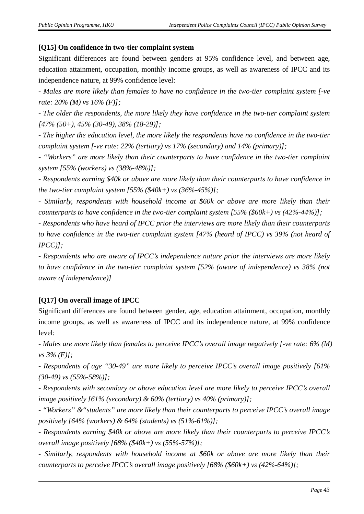#### **[Q15] On confidence in two-tier complaint system**

Significant differences are found between genders at 95% confidence level, and between age, education attainment, occupation, monthly income groups, as well as awareness of IPCC and its independence nature, at 99% confidence level:

*- Males are more likely than females to have no confidence in the two-tier complaint system [-ve rate: 20% (M) vs 16% (F)];*

*- The older the respondents, the more likely they have confidence in the two-tier complaint system [47% (50+), 45% (30-49), 38% (18-29)];*

*- The higher the education level, the more likely the respondents have no confidence in the two-tier complaint system [-ve rate: 22% (tertiary) vs 17% (secondary) and 14% (primary)];*

*- "Workers" are more likely than their counterparts to have confidence in the two-tier complaint system [55% (workers) vs (38%-48%)];*

*- Respondents earning \$40k or above are more likely than their counterparts to have confidence in the two-tier complaint system [55% (\$40k+) vs (36%-45%)];*

*- Similarly, respondents with household income at \$60k or above are more likely than their counterparts to have confidence in the two-tier complaint system [55% (\$60k+) vs (42%-44%)];*

*- Respondents who have heard of IPCC prior the interviews are more likely than their counterparts to have confidence in the two-tier complaint system [47% (heard of IPCC) vs 39% (not heard of IPCC)];*

*- Respondents who are aware of IPCC's independence nature prior the interviews are more likely to have confidence in the two-tier complaint system [52% (aware of independence) vs 38% (not aware of independence)]*

#### **[Q17] On overall image of IPCC**

Significant differences are found between gender, age, education attainment, occupation, monthly income groups, as well as awareness of IPCC and its independence nature, at 99% confidence level:

*- Males are more likely than females to perceive IPCC's overall image negatively [-ve rate: 6% (M) vs 3% (F)];*

*- Respondents of age "30-49" are more likely to perceive IPCC's overall image positively [61% (30-49) vs (55%-58%)];*

*- Respondents with secondary or above education level are more likely to perceive IPCC's overall image positively [61% (secondary) & 60% (tertiary) vs 40% (primary)];*

*- "Workers" &"students" are more likely than their counterparts to perceive IPCC's overall image positively [64% (workers) & 64% (students) vs (51%-61%)];*

*- Respondents earning \$40k or above are more likely than their counterparts to perceive IPCC's overall image positively [68% (\$40k+) vs (55%-57%)];*

*- Similarly, respondents with household income at \$60k or above are more likely than their counterparts to perceive IPCC's overall image positively [68% (\$60k+) vs (42%-64%)];*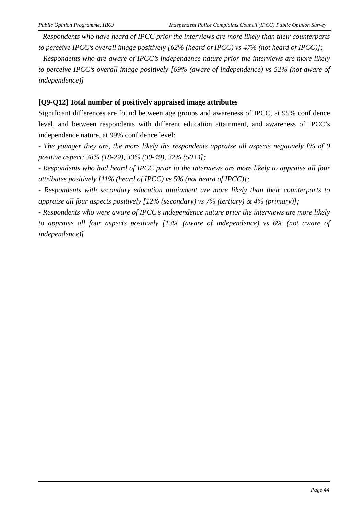*- Respondents who have heard of IPCC prior the interviews are more likely than their counterparts to perceive IPCC's overall image positively [62% (heard of IPCC) vs 47% (not heard of IPCC)];*

*- Respondents who are aware of IPCC's independence nature prior the interviews are more likely to perceive IPCC's overall image positively [69% (aware of independence) vs 52% (not aware of independence)]*

#### **[Q9-Q12] Total number of positively appraised image attributes**

Significant differences are found between age groups and awareness of IPCC, at 95% confidence level, and between respondents with different education attainment, and awareness of IPCC's independence nature, at 99% confidence level:

*- The younger they are, the more likely the respondents appraise all aspects negatively [% of 0 positive aspect: 38% (18-29), 33% (30-49), 32% (50+)];*

*- Respondents who had heard of IPCC prior to the interviews are more likely to appraise all four attributes positively [11% (heard of IPCC) vs 5% (not heard of IPCC)];*

*- Respondents with secondary education attainment are more likely than their counterparts to appraise all four aspects positively [12% (secondary) vs 7% (tertiary) & 4% (primary)];*

*- Respondents who were aware of IPCC's independence nature prior the interviews are more likely to appraise all four aspects positively [13% (aware of independence) vs 6% (not aware of independence)]*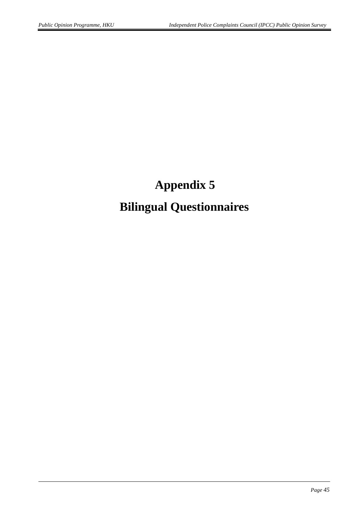# **Appendix 5 Bilingual Questionnaires**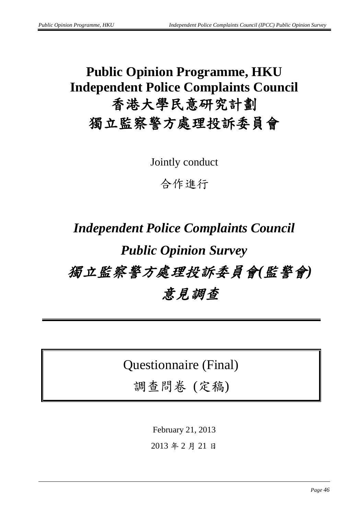# **Public Opinion Programme, HKU Independent Police Complaints Council** 香港大學民意研究計劃 獨立監察警方處理投訴委員會

Jointly conduct

合作進行

# *Independent Police Complaints Council Public Opinion Survey* 獨立監察警方處理投訴委員會*(*監警會*)* 意見調查

Questionnaire (Final)

調查問卷 (定稿)

February 21, 2013

2013 年 2 月 21 日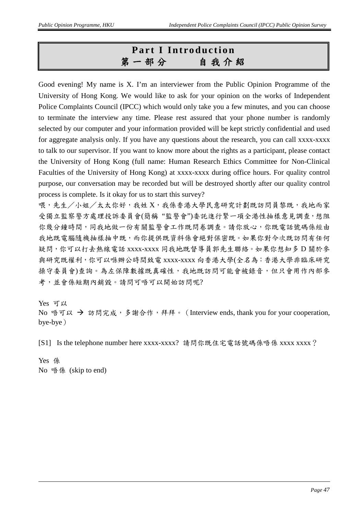# **Part I Introduction** 第一部分自我介紹

Good evening! My name is X. I'm an interviewer from the Public Opinion Programme of the University of Hong Kong. We would like to ask for your opinion on the works of Independent Police Complaints Council (IPCC) which would only take you a few minutes, and you can choose to terminate the interview any time. Please rest assured that your phone number is randomly selected by our computer and your information provided will be kept strictly confidential and used for aggregate analysis only. If you have any questions about the research, you can call xxxx-xxxx to talk to our supervisor. If you want to know more about the rights as a participant, please contact the University of Hong Kong (full name: Human Research Ethics Committee for Non-Clinical Faculties of the University of Hong Kong) at xxxx-xxxx during office hours. For quality control purpose, our conversation may be recorded but will be destroyed shortly after our quality control process is complete. Is it okay for us to start this survey?

喂,先生/小姐/太太你好,我姓 X,我係香港大學民意研究計劃既訪問員黎既,我地而家 受獨立監察警方處理投訴委員會(簡稱 "監警會")委託進行緊一項全港性抽樣意見調查,想阻 你幾分鐘時間,同我地做一份有關監警會工作既問卷調查。請你放心,你既電話號碼係經由 我地既電腦隨機抽樣抽中既,而你提供既資料係會絕對保密既。如果你對今次既訪問有任何 疑問,你可以打去熱線電話 xxxx-xxxx 同我地既督導員郭先生聯絡。如果你想知多 D 關於參 與研究既權利,你可以喺辦公時間致電 xxxx-xxxx 向香港大學(全名為:香港大學非臨床研究 操守委員會)查詢。為左保障數據既真確性,我地既訪問可能會被錄音,但只會用作內部參 考,並會係短期內銷毀。請問可唔可以開始訪問呢?

Yes 可以

No 唔可以 → 訪問完成, 多謝合作, 拜拜。 (Interview ends, thank you for your cooperation, bye-bye)

[S1] Is the telephone number here xxxx-xxxx? 請問你既住宅電話號碼係唔係 xxxx xxxx?

Yes 係 No 唔係 (skip to end)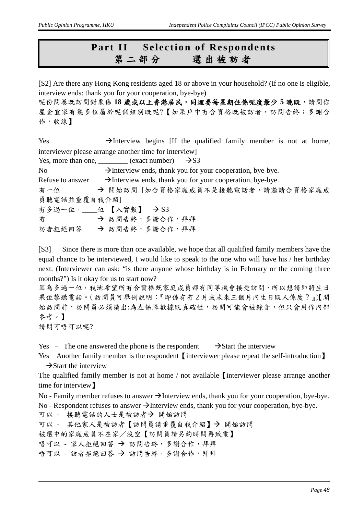## **Part II** Selection of Respondents<br>第二部分 選出被訪者 第二部分選出被訪者

[S2] Are there any Hong Kong residents aged 18 or above in your household? (If no one is eligible, interview ends: thank you for your cooperation, bye-bye)

呢份問卷既訪問對象係18 歲或以上香港居民,同埋要每星期住係呢度最少 5 晚既,請問你 屋企宜家有幾多位屬於呢個組別既呢?【如果戶中冇合資格既被訪者,訪問告終;多謝合 作,收線】

Yes  $\rightarrow$  Interview begins [If the qualified family member is not at home, interviewer please arrange another time for interview]

Yes, more than one, \_\_\_\_\_\_\_\_ (exact number)  $\rightarrow$ S3

No  $\rightarrow$  Interview ends, thank you for your cooperation, bye-bye. Refuse to answer  $\rightarrow$  Interview ends, thank you for your cooperation, bye-bye. 有一位 → 開始訪問 [如合資格家庭成員不是接聽電話者,請邀請合資格家庭成 員聽電話並重覆自我介紹] 有多過一位, \_\_\_位【入實數】 → S3 方 お問告終,多謝合作,拜拜 訪者拒絕回答 → 訪問告終,多謝合作,拜拜

[S3] Since there is more than one available, we hope that all qualified family members have the equal chance to be interviewed, I would like to speak to the one who will have his / her birthday next. (Interviewer can ask: "is there anyone whose birthday is in February or the coming three months?") Is it okay for us to start now?

因為多過一位,我地希望所有合資格既家庭成員都有同等機會接受訪問,所以想請即將生日 果位黎聽電話。(訪問員可舉例說明:『即係有冇 2 月或未來三個月內生日既人係度?』)【開 始訪問前,訪問員必須讀出:為左保障數據既真確性,訪問可能會被錄音,但只會用作內部 參考。】

請問可唔可以呢?

Yes – The one answered the phone is the respondent  $\rightarrow$  Start the interview

Yes – Another family member is the respondent [interviewer please repeat the self-introduction]  $\rightarrow$  Start the interview

The qualified family member is not at home / not available I interviewer please arrange another time for interview】

No - Family member refuses to answer  $\rightarrow$  Interview ends, thank you for your cooperation, bye-bye.

No - Respondent refuses to answer  $\rightarrow$  Interview ends, thank you for your cooperation, bye-bye.

可以 - 接聽電話的人士是被訪者→ 開始訪問

可以 - 其他家人是被訪者【訪問員請重覆自我介紹】→ 開始訪問

被選中的家庭成員不在家/沒空【訪問員請另約時間再致電】

唔可以 - 家人拒絕回答 → 訪問告終,多謝合作,拜拜

唔可以 - 訪者拒絕回答 → 訪問告終,多謝合作,拜拜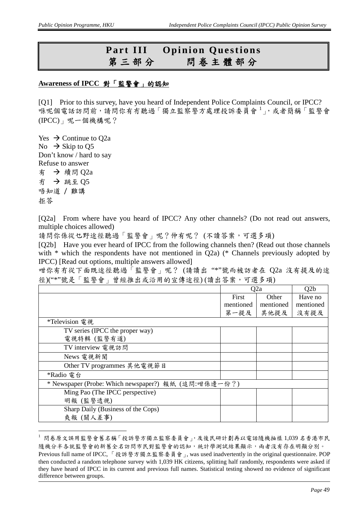## **Part III Opinion Questions** 第三部分問卷主體部分

#### **Awareness of IPCC** 對「監警會」的認知

[Q1] Prior to this survey, have you heard of Independent Police Complaints Council, or IPCC? 喺呢個電話訪問前,請問你有冇聽過「獨立監察警方處理投訴委員會<sup>[1](#page-0-0)</sup>」,或者簡稱「監警會 (IPCC)」呢一個機構呢?

Yes  $\rightarrow$  Continue to Q2a No  $\rightarrow$  Skip to Q5 Don't know / hard to say Refuse to answer 有 → 續問  $O2a$ 冇 跳至 Q5 唔知道 / 難講 拒答

[Q2a] From where have you heard of IPCC? Any other channels? (Do not read out answers, multiple choices allowed)

請問你係從乜野途徑聽過「監警會」呢?仲有呢? (不讀答案,可選多項)

[Q2b] Have you ever heard of IPCC from the following channels then? (Read out those channels with \* which the respondents have not mentioned in Q2a) (\* Channels previously adopted by IPCC) [Read out options, multiple answers allowed]

咁你有冇從下面既途徑聽過「監警會」呢? (請讀出 "\*"號而被訪者在 Q2a 沒有提及的途 徑)("\*"號是「監警會」曾經推出或沿用的宣傳途徑) (讀出答案,可選多項)

|                                                      |              | Q2a       | O2b       |
|------------------------------------------------------|--------------|-----------|-----------|
|                                                      | <b>First</b> | Other     | Have no   |
|                                                      | mentioned    | mentioned | mentioned |
|                                                      | 第一提及         | 其他提及      | 沒有提及      |
| *Television 電視                                       |              |           |           |
| TV series (IPCC the proper way)                      |              |           |           |
| 電視特輯 (監警有道)                                          |              |           |           |
| TV interview 電視訪問                                    |              |           |           |
| News 電視新聞                                            |              |           |           |
| Other TV programmes 其他電視節目                           |              |           |           |
| *Radio 電台                                            |              |           |           |
| * Newspaper (Probe: Which newspaper?) 報紙 (追問:咁係邊一份?) |              |           |           |
| Ming Pao (The IPCC perspective)                      |              |           |           |
| 明報 (監警透視)                                            |              |           |           |
| Sharp Daily (Business of the Cops)                   |              |           |           |
| 爽報(關人差事)                                             |              |           |           |

 <sup>1</sup> 問卷原文誤用監警會舊名稱「投訴警方獨立監察委員會」,及後民研計劃再以電話隨機抽樣 1,039 名香港市民 隨機分半各就監警會的部為官員對監警會的認知,統計學測試結果顯示,兩者沒有存在明顯分別。 Previous full name of IPCC, 「投訴警方獨立監察委員會」, was used inadvertently in the original questionnaire. POP then conducted a random telephone survey with 1,039 HK citizens, splitting half randomly, respondents were asked if they have heard of IPCC in its current and previous full names. Statistical testing showed no evidence of significant difference between groups.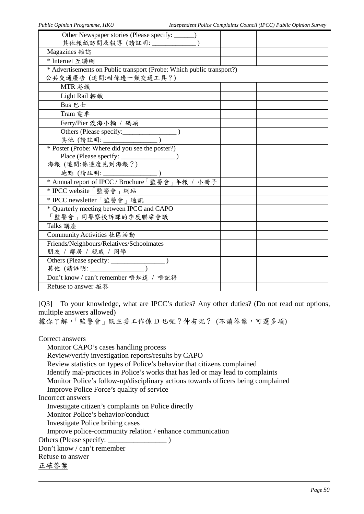| Public Opinion Programme, HKU                                                 | Independent Police Complaints Council (IPCC) Public Opinion Survey |
|-------------------------------------------------------------------------------|--------------------------------------------------------------------|
| Other Newspaper stories (Please specify: _____)                               |                                                                    |
| 其他報紙訪問及報導 (請註明: ______________)                                               |                                                                    |
| Magazines 雜誌                                                                  |                                                                    |
| * Internet 互聯網                                                                |                                                                    |
| * Advertisements on Public transport (Probe: Which public transport?)         |                                                                    |
| 公共交通廣告 (追問:咁係邊一類交通工具?)                                                        |                                                                    |
| MTR 港鐵                                                                        |                                                                    |
| Light Rail 輕鐵                                                                 |                                                                    |
| Bus 巴士                                                                        |                                                                    |
| Tram 電車                                                                       |                                                                    |
| Ferry/Pier 渡海小輪 / 碼頭                                                          |                                                                    |
|                                                                               |                                                                    |
| 其他 (請註明: ______________                                                       |                                                                    |
| * Poster (Probe: Where did you see the poster?)                               |                                                                    |
|                                                                               |                                                                    |
| 海報(追問:係邊度見到海報?)                                                               |                                                                    |
| 地點 (請註明: ________________)<br>* Annual report of IPCC / Brochure「監警會」年報 / 小冊子 |                                                                    |
|                                                                               |                                                                    |
| * IPCC website「監警會」網站                                                         |                                                                    |
| * IPCC newsletter「監警會」通訊                                                      |                                                                    |
| * Quarterly meeting between IPCC and CAPO                                     |                                                                    |
| 「監警會」同警察投訴課的季度聯席會議                                                            |                                                                    |
| Talks 講座                                                                      |                                                                    |
| Community Activities 社區活動                                                     |                                                                    |
| Friends/Neighbours/Relatives/Schoolmates                                      |                                                                    |
| 朋友 / 鄰居 / 親戚 / 同學                                                             |                                                                    |
|                                                                               |                                                                    |
|                                                                               |                                                                    |
| Don't know / can't remember 唔知道 / 唔記得                                         |                                                                    |
| Refuse to answer 拒答                                                           |                                                                    |

[Q3] To your knowledge, what are IPCC's duties? Any other duties? (Do not read out options, multiple answers allowed)

據你了解,「監警會」既主要工作係 D 乜呢?仲有呢? (不讀答案,可選多項)

Correct answers

Monitor CAPO's cases handling process Review/verify investigation reports/results by CAPO Review statistics on types of Police's behavior that citizens complained Identify mal-practices in Police's works that has led or may lead to complaints Monitor Police's follow-up/disciplinary actions towards officers being complained Improve Police Force's quality of service Incorrect answers Investigate citizen's complaints on Police directly Monitor Police's behavior/conduct Investigate Police bribing cases

Improve police-community relation / enhance communication

Others (Please specify: \_\_\_\_\_\_\_\_\_\_\_\_\_\_\_\_ )

Don't know / can't remember

Refuse to answer

正確答案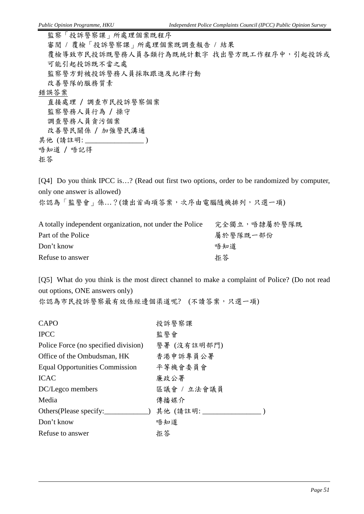監察「投訴警察課」所處理個案既程序 審閱 / 覆檢「投訴警察課」所處理個案既調查報告 / 結果 覆檢導致市民投訴既警務人員各類行為既統計數字 找出警方既工作程序中,引起投訴或 可能引起投訴既不當之處 監察警方對被投訴警務人員採取跟進及紀律行動 改善警隊的服務質素 錯誤答案 直接處理 / 調查市民投訴警察個案 監察警務人員行為 / 操守 調查警務人員貪污個案 改善警民關係 / 加強警民溝通 其他 (請註明: \_\_\_\_\_\_\_\_\_\_\_\_\_\_\_\_\_\_) 唔知道 / 唔記得 拒答

[Q4] Do you think IPCC is...? (Read out first two options, order to be randomized by computer, only one answer is allowed)

你認為「監警會」係...?(讀出首兩項答案,次序由電腦隨機排列,只選一項)

| A totally independent organization, not under the Police | 完全獨立,唔隸屬於警隊既 |
|----------------------------------------------------------|--------------|
| Part of the Police                                       | 屬於警隊既一部份     |
| Don't know                                               | 唔知道          |
| Refuse to answer                                         | 拒答           |

[Q5] What do you think is the most direct channel to make a complaint of Police? (Do not read out options, ONE answers only)

你認為市民投訴警察最有效係經邊個渠道呢? (不讀答案,只選一項)

| 投訴警察課        |
|--------------|
| 監警會          |
| 警署 (沒有註明部門)  |
| 香港申訴專員公署     |
| 平等機會委員會      |
| 廉政公署         |
| 區議會 / 立法會議員  |
| 傳播媒介         |
| 其他 (請註明: ___ |
| 唔知道          |
| 拒答           |
|              |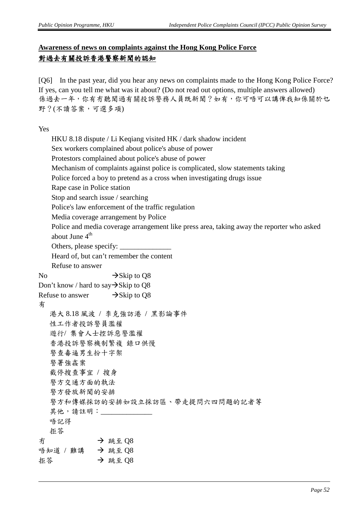### **Awareness of news on complaints against the Hong Kong Police Force** 對過去有關投訴香港警察新聞的認知

[Q6] In the past year, did you hear any news on complaints made to the Hong Kong Police Force? If yes, can you tell me what was it about? (Do not read out options, multiple answers allowed) 係過去一年,你有冇聽聞過有關投訴警務人員既新聞?如有,你可唔可以講俾我知係關於乜 野?(不讀答案,可選多項)

Yes

|    | HKU 8.18 dispute / Li Keqiang visited HK / dark shadow incident                                                         |  |  |
|----|-------------------------------------------------------------------------------------------------------------------------|--|--|
|    | Sex workers complained about police's abuse of power                                                                    |  |  |
|    | Protestors complained about police's abuse of power                                                                     |  |  |
|    | Mechanism of complaints against police is complicated, slow statements taking                                           |  |  |
|    | Police forced a boy to pretend as a cross when investigating drugs issue                                                |  |  |
|    | Rape case in Police station                                                                                             |  |  |
|    | Stop and search issue / searching                                                                                       |  |  |
|    | Police's law enforcement of the traffic regulation                                                                      |  |  |
|    | Media coverage arrangement by Police                                                                                    |  |  |
|    | Police and media coverage arrangement like press area, taking away the reporter who asked<br>about June 4 <sup>th</sup> |  |  |
|    |                                                                                                                         |  |  |
|    | Heard of, but can't remember the content                                                                                |  |  |
|    | Refuse to answer                                                                                                        |  |  |
| No | $\rightarrow$ Skip to Q8                                                                                                |  |  |
|    | Don't know / hard to say $\rightarrow$ Skip to Q8                                                                       |  |  |
|    | Refuse to answer $\rightarrow$ Skip to Q8                                                                               |  |  |
| 有  |                                                                                                                         |  |  |
|    | 港大 8.18 風波 / 李克強訪港 / 黑影論事件                                                                                              |  |  |
|    | 性工作者投訴警員濫權                                                                                                              |  |  |
|    | 遊行/ 集會人士控訴惡警濫權                                                                                                          |  |  |
|    | 香港投訴警察機制繁複 錄口供慢                                                                                                         |  |  |
|    | 警查毒逼男生扮十字架                                                                                                              |  |  |
|    | 警署強姦案                                                                                                                   |  |  |
|    | 截停搜查事宜 / 搜身                                                                                                             |  |  |
|    | 警方交通方面的執法                                                                                                               |  |  |
|    | 警方發放新聞的安排                                                                                                               |  |  |
|    | 警方和傳媒採訪的安排如設立採訪區、帶走提問六四問題的記者等                                                                                           |  |  |
|    | 其他,請註明: ________                                                                                                        |  |  |
|    | 唔記得                                                                                                                     |  |  |
|    | 拒答                                                                                                                      |  |  |
| 冇  | → 跳至 Q8                                                                                                                 |  |  |
|    | 唔知道 / 難講 → 跳至 Q8                                                                                                        |  |  |
| 拒答 | → 跳至 Q8                                                                                                                 |  |  |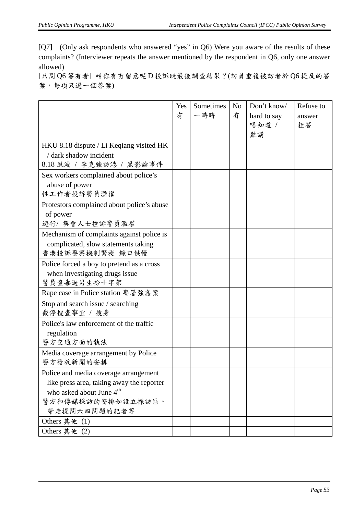[Q7] (Only ask respondents who answered "yes" in Q6) Were you aware of the results of these complaints? (Interviewer repeats the answer mentioned by the respondent in Q6, only one answer allowed)

[只問 Q6 答有者] 咁你有冇留意呢 D 投訴既最後調查結果?(訪員重複被訪者於 Q6 提及的答 案,每項只選一個答案)

|                                                                                                                                                       | Yes<br>有 | Sometimes<br>一時時 | N <sub>o</sub><br>冇 | Don't know/<br>hard to say<br>唔知道 /<br>難講 | Refuse to<br>answer<br>拒答 |
|-------------------------------------------------------------------------------------------------------------------------------------------------------|----------|------------------|---------------------|-------------------------------------------|---------------------------|
| HKU 8.18 dispute / Li Keqiang visited HK<br>/ dark shadow incident                                                                                    |          |                  |                     |                                           |                           |
| 8.18 風波 / 李克強訪港 / 黑影論事件                                                                                                                               |          |                  |                     |                                           |                           |
| Sex workers complained about police's<br>abuse of power<br>性工作者投訴警員濫權                                                                                 |          |                  |                     |                                           |                           |
| Protestors complained about police's abuse<br>of power<br>遊行/ 集會人士控訴警員濫權                                                                              |          |                  |                     |                                           |                           |
| Mechanism of complaints against police is<br>complicated, slow statements taking<br>香港投訴警察機制繁複 錄口供慢                                                   |          |                  |                     |                                           |                           |
| Police forced a boy to pretend as a cross<br>when investigating drugs issue<br>警員查毒逼男生扮十字架                                                            |          |                  |                     |                                           |                           |
| Rape case in Police station 警署強姦案                                                                                                                     |          |                  |                     |                                           |                           |
| Stop and search issue / searching<br>截停搜查事宜 / 搜身                                                                                                      |          |                  |                     |                                           |                           |
| Police's law enforcement of the traffic<br>regulation<br>警方交通方面的執法                                                                                    |          |                  |                     |                                           |                           |
| Media coverage arrangement by Police<br>警方發放新聞的安排                                                                                                     |          |                  |                     |                                           |                           |
| Police and media coverage arrangement<br>like press area, taking away the reporter<br>who asked about June $4th$<br>警方和傳媒採訪的安排如設立採訪區、<br>帶走提問六四問題的記者等 |          |                  |                     |                                           |                           |
| Others 其他 (1)                                                                                                                                         |          |                  |                     |                                           |                           |
| Others 其他 (2)                                                                                                                                         |          |                  |                     |                                           |                           |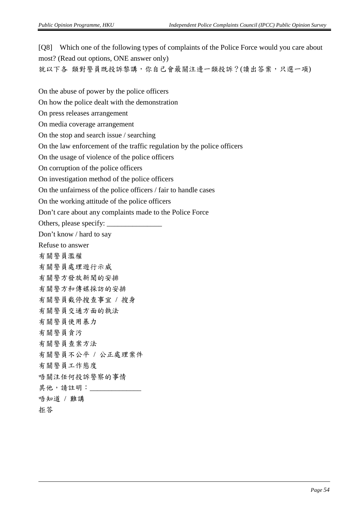[Q8] Which one of the following types of complaints of the Police Force would you care about most? (Read out options, ONE answer only) 就以下各 類對警員既投訴黎講,你自己會最關注邊一類投訴?(讀出答案,只選一項) On the abuse of power by the police officers On how the police dealt with the demonstration On press releases arrangement On media coverage arrangement On the stop and search issue / searching On the law enforcement of the traffic regulation by the police officers On the usage of violence of the police officers On corruption of the police officers On investigation method of the police officers

On the unfairness of the police officers / fair to handle cases

On the working attitude of the police officers

Don't care about any complaints made to the Police Force

Others, please specify: \_

Don't know / hard to say

Refuse to answer

有關警員濫權

有關警員處理遊行示威

有關警方發放新聞的安排

有關警方和傳媒採訪的安排

有關警員截停搜查事宜 / 搜身

有關警員交通方面的執法

有關警員使用暴力

有關警員貪污

有關警員查案方法

有關警員不公平 / 公正處理案件

有關警員工作態度

唔關注任何投訴警察的事情

其他,請註明: \_\_\_\_\_\_\_\_

唔知道 / 難講

拒答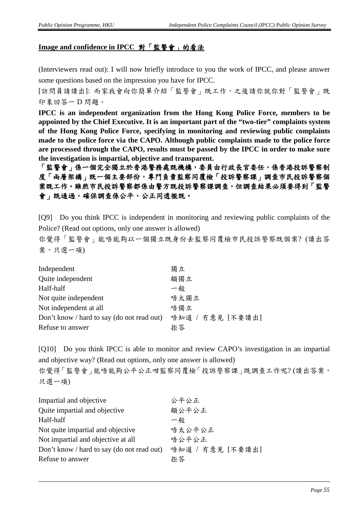#### **Image and confidence in IPCC** 對「監警會」的看法

(Interviewers read out): I will now briefly introduce to you the work of IPCC, and please answer some questions based on the impression you have for IPCC.

[訪問員請讀出]: 而家我會向你簡單介紹「監警會」既工作,之後請你就你對「監警會」既 印象回答一 D 問題。

**IPCC is an independent organization from the Hong Kong Police Force, members to be appointed by the Chief Executive. It is an important part of the "two-tier" complaints system of the Hong Kong Police Force, specifying in monitoring and reviewing public complaints made to the police force via the CAPO. Although public complaints made to the police force are processed through the CAPO, results must be passed by the IPCC in order to make sure the investigation is impartial, objective and transparent.**

「監警會」係一個完全獨立於香港警務處既機構,委員由行政長官委任,係香港投訴警察制 度「兩層架構」既一個主要部份,專門負責監察同覆檢「投訴警察課」調查市民投訴警察個 案既工作。雖然市民投訴警察打既投訴警察課調查,但調查結果必須要得到「監警 會」既通過,確保調查係公平、公正同透徹既。

[Q9] Do you think IPCC is independent in monitoring and reviewing public complaints of the Police? (Read out options, only one answer is allowed)

你覺得「監警會」能唔能夠以一個獨立既身份去監察同覆檢市民投訴警察既個案? (讀出答 案,只選一項)

| Independent                                | 獨立               |
|--------------------------------------------|------------------|
| Quite independent                          | 頗獨立              |
| Half-half                                  | 一般               |
| Not quite independent                      | 唔太獨立             |
| Not independent at all                     | 唔獨立              |
| Don't know / hard to say (do not read out) | 唔知道 / 冇意見 [不要讀出] |
| Refuse to answer                           | 拒答               |

[Q10] Do you think IPCC is able to monitor and review CAPO's investigation in an impartial and objective way? (Read out options, only one answer is allowed) 你覺得「監警會」能唔能夠公平公正咁監察同覆檢「投訴警察課」既調查工作呢?(讀出答案, 只選一項)

| 公平公正             |
|------------------|
| 頗公平公正            |
| 一般               |
| 唔太公平公正           |
| 唔公平公正            |
| 唔知道 / 冇意見 [不要讀出] |
| 拒答               |
|                  |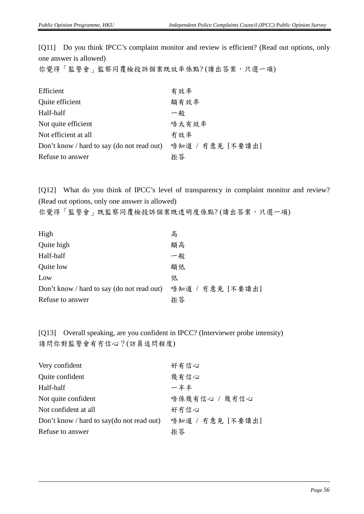[Q11] Do you think IPCC's complaint monitor and review is efficient? (Read out options, only one answer is allowed)

你覺得「監警會」監察同覆檢投訴個案既效率係點?(讀出答案,只選一項)

| Efficient                                  | 有效率              |
|--------------------------------------------|------------------|
| Quite efficient                            | 頗有效率             |
| Half-half                                  | 一般               |
| Not quite efficient                        | 唔太有效率            |
| Not efficient at all                       | 冇效率              |
| Don't know / hard to say (do not read out) | 唔知道 / 冇意見 [不要讀出] |
| Refuse to answer                           | 拒答               |

[Q12] What do you think of IPCC's level of transparency in complaint monitor and review? (Read out options, only one answer is allowed)

你覺得「監警會」既監察同覆檢投訴個案既透明度係點?(讀出答案,只選一項)

| High                                       | 高                |
|--------------------------------------------|------------------|
| Quite high                                 | 頗高               |
| Half-half                                  | 一般               |
| Quite low                                  | 頗低               |
| Low                                        | 低                |
| Don't know / hard to say (do not read out) | 唔知道 / 冇意見 [不要讀出] |
| Refuse to answer                           | 拒答               |

[Q13] Overall speaking, are you confident in IPCC? (Interviewer probe intensity) 請問你對監警會有冇信心?(訪員追問程度)

| Very confident                            | 好有信心             |
|-------------------------------------------|------------------|
| Quite confident                           | 幾有信心             |
| Half-half                                 | 一半半              |
| Not quite confident                       | 唔係幾有信心 / 幾冇信心    |
| Not confident at all                      | 好冇信心             |
| Don't know / hard to say(do not read out) | 唔知道 / 冇意見 [不要讀出] |
| Refuse to answer                          | 拒答               |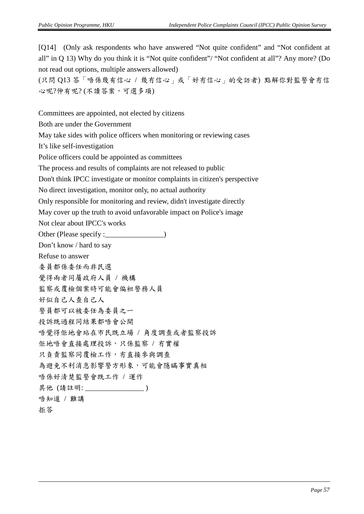[Q14] (Only ask respondents who have answered "Not quite confident" and "Not confident at all" in Q 13) Why do you think it is "Not quite confident"/ "Not confident at all"? Any more? (Do not read out options, multiple answers allowed)

(只問 Q13 答「唔係幾有信心 / 幾冇信心」或「好冇信心」的受訪者) 點解你對監警會冇信 心呢?仲有呢? (不讀答案,可選多項)

Committees are appointed, not elected by citizens

Both are under the Government

May take sides with police officers when monitoring or reviewing cases

It's like self-investigation

Police officers could be appointed as committees

The process and results of complaints are not released to public

Don't think IPCC investigate or monitor complaints in citizen's perspective

No direct investigation, monitor only, no actual authority

Only responsible for monitoring and review, didn't investigate directly

May cover up the truth to avoid unfavorable impact on Police's image

Not clear about IPCC's works

Other (Please specify :\_\_\_\_\_\_\_\_\_\_\_\_\_\_\_)

Don't know / hard to say

Refuse to answer 委員都係委任而非民選

覺得兩者同屬政府人員 / 機構

監察或覆檢個案時可能會偏袒警務人員

好似自己人查自己人

警員都可以被委任為委員之一

投訴既過程同結果都唔會公開

唔覺得佢地會站在市民既立場 / 角度調查或者監察投訴

佢地唔會直接處理投訴,只係監察 / 冇實權

只負責監察同覆檢工作, 冇直接參與調查

為避免不利消息影響警方形象,可能會隱瞞事實真相

唔係好清楚監警會既工作 / 運作

其他 (請註明: \_\_\_\_\_\_\_\_\_\_\_\_\_\_\_\_\_\_\_\_)

唔知道 / 難講

```
拒答
```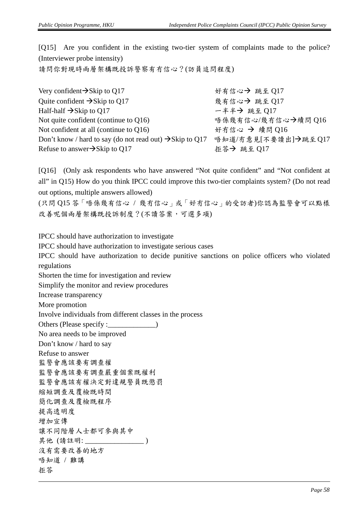[Q15] Are you confident in the existing two-tier system of complaints made to the police? (Interviewer probe intensity)

請問你對現時兩層架構既投訴警察有冇信心?(訪員追問程度)

| Very confident $\rightarrow$ Skip to Q17                             | 好有信心→ 跳至 Q17        |
|----------------------------------------------------------------------|---------------------|
| Quite confident $\rightarrow$ Skip to Q17                            | 幾有信心→ 跳至 Q17        |
| Half-half $\rightarrow$ Skip to Q17                                  | 一半半→ 跳至 017         |
| Not quite confident (continue to $Q16$ )                             | 唔係幾有信心/幾冇信心→續問 Q16  |
| Not confident at all (continue to $Q16$ )                            | 好冇信心 → 續問 Q16       |
| Don't know / hard to say (do not read out) $\rightarrow$ Skip to Q17 | 唔知道/冇意見[不要讀出]→跳至Q17 |
| Refuse to answer $\rightarrow$ Skip to Q17                           | 拒答→ 跳至 Q17          |

[Q16] (Only ask respondents who have answered "Not quite confident" and "Not confident at all" in Q15) How do you think IPCC could improve this two-tier complaints system? (Do not read out options, multiple answers allowed)

(只問 Q15 答「唔係幾有信心 / 幾冇信心」或「好冇信心」的受訪者)你認為監警會可以點樣 改善呢個兩層架構既投訴制度?(不讀答案,可選多項)

IPCC should have authorization to investigate IPCC should have authorization to investigate serious cases IPCC should have authorization to decide punitive sanctions on police officers who violated regulations Shorten the time for investigation and review Simplify the monitor and review procedures Increase transparency More promotion Involve individuals from different classes in the process Others (Please specify : No area needs to be improved Don't know / hard to say Refuse to answer 監警會應該要有調查權 監警會應該要有調查嚴重個案既權利 監警會應該有權決定對違規警員既懲罰 縮短調查及覆檢既時間 簡化調查及覆檢既程序 提高透明度 增加宣傳 讓不同階層人士都可參與其中 其他 (請註明: \_\_\_\_\_\_\_\_\_\_\_\_\_\_\_\_\_\_\_\_\_) 沒有需要改善的地方 唔知道 / 難講 拒答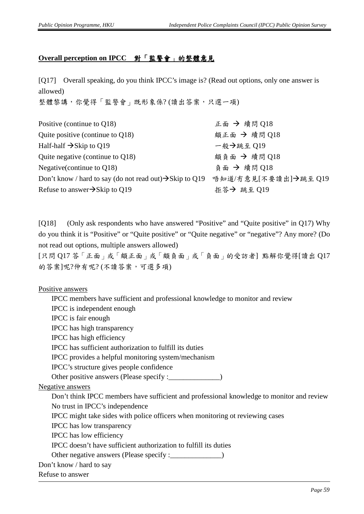#### **Overall perception on IPCC** 對「監警會」的整體意見

[Q17] Overall speaking, do you think IPCC's image is? (Read out options, only one answer is allowed)

整體黎講,你覺得「監警會」既形象係?(讀出答案,只選一項)

| Positive (continue to Q18)                                           | 正面 → 續問 Q18          |
|----------------------------------------------------------------------|----------------------|
| Quite positive (continue to $Q18$ )                                  | 頗正面 → 續問 Q18         |
| Half-half $\rightarrow$ Skip to Q19                                  | 一般→跳至 Q19            |
| Quite negative (continue to $Q18$ )                                  | 頗負面 → 續問 Q18         |
| Negative (continue to Q18)                                           | 負面 → 續問 O18          |
| Don't know / hard to say (do not read out) $\rightarrow$ Skip to Q19 | 唔知道/冇意見[不要讀出]→跳至 Q19 |
| Refuse to answer $\rightarrow$ Skip to Q19                           | 拒答→ 跳至 Q19           |

[Q18] (Only ask respondents who have answered "Positive" and "Quite positive" in Q17) Why do you think it is "Positive" or "Quite positive" or "Quite negative" or "negative"? Any more? (Do not read out options, multiple answers allowed)

[只問 Q17 答「正面」或「頗正面」或「頗負面」或「負面」的受訪者] 點解你覺得[讀出 Q17 的答案]呢?仲有呢? (不讀答案,可選多項)

Positive answers

IPCC members have sufficient and professional knowledge to monitor and review IPCC is independent enough IPCC is fair enough IPCC has high transparency IPCC has high efficiency IPCC has sufficient authorization to fulfill its duties IPCC provides a helpful monitoring system/mechanism IPCC's structure gives people confidence Other positive answers (Please specify : \_\_\_\_\_\_\_\_\_\_\_\_\_) Negative answers Don't think IPCC members have sufficient and professional knowledge to monitor and review No trust in IPCC's independence IPCC might take sides with police officers when monitoring ot reviewing cases IPCC has low transparency IPCC has low efficiency IPCC doesn't have sufficient authorization to fulfill its duties Other negative answers (Please specify : \_\_\_\_\_\_\_\_\_\_\_\_\_\_) Don't know / hard to say Refuse to answer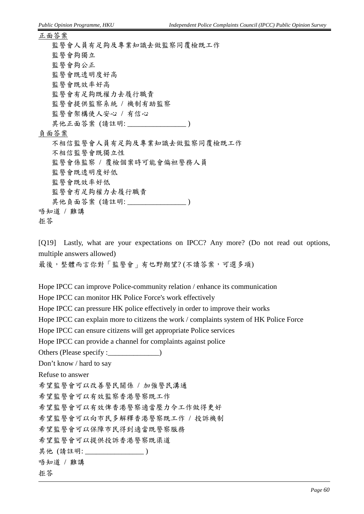正面答案 監警會人員有足夠及專業知識去做監察同覆檢既工作 監警會夠獨立 監警會夠公正 監警會既透明度好高 監警會既效率好高 監警會有足夠既權力去履行職責 監警會提供監察系統 / 機制有助監察 監警會架構使人安心 / 有信心 其他正面答案 (請註明: \_\_\_\_\_\_\_\_\_\_\_\_\_\_\_\_\_\_\_\_) 負面答案 不相信監警會人員有足夠及專業知識去做監察同覆檢既工作 不相信監警會既獨立性 監警會係監察 / 覆檢個案時可能會偏袒警務人員 監警會既透明度好低 監警會既效率好低 監警會冇足夠權力去履行職責 其他負面答案 (請註明: \_\_\_\_\_\_\_\_\_\_\_\_\_\_\_\_\_\_\_) 唔知道 / 難講 拒答

[Q19] Lastly, what are your expectations on IPCC? Any more? (Do not read out options, multiple answers allowed)

最後,整體而言你對「監警會」有乜野期望? (不讀答案,可選多項)

Hope IPCC can improve Police-community relation / enhance its communication

Hope IPCC can monitor HK Police Force's work effectively

Hope IPCC can pressure HK police effectively in order to improve their works

Hope IPCC can explain more to citizens the work / complaints system of HK Police Force

Hope IPCC can ensure citizens will get appropriate Police services

Hope IPCC can provide a channel for complaints against police

Others (Please specify :\_\_\_\_\_\_\_\_\_\_\_\_\_)

Don't know / hard to say

Refuse to answer

希望監警會可以改善警民關係 / 加強警民溝通

希望監警會可以有效監察香港警察既工作

希望監警會可以有效俾香港警察適當壓力令工作做得更好

希望監警會可以向市民多解釋香港警察既工作 / 投訴機制

希望監警會可以保障市民得到適當既警察服務

希望監警會可以提供投訴香港警察既渠道

其他 (請註明: \_\_\_\_\_\_\_\_\_\_\_\_\_\_\_\_ )

唔知道 / 難講

#### 拒答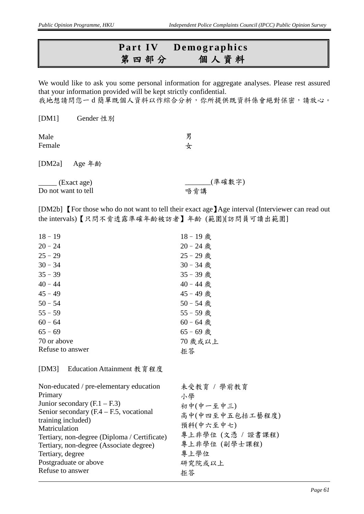## **Part IV Demographics** 第四部分個人資料

We would like to ask you some personal information for aggregate analyses. Please rest assured that your information provided will be kept strictly confidential. 我地想請問您一d簡單既個人資料以作綜合分析,你所提供既資料係會絕對保密,請放心。

> 男 女

[DM1] Gender 性別

Male Female

[DM2a] Age 年齡

 $_{\rm -}$  (Exact age) Do not want to tell \_\_\_\_\_\_\_(準確數字) 唔肯講

[DM2b] **[For those who do not want to tell their exact age]** Age interval (Interviewer can read out the intervals)【只問不肯透露準確年齡被訪者】年齡 (範圍)[訪問員可讀出範圍]

| $18 - 19$        | 18-19歲      |
|------------------|-------------|
| $20 - 24$        | $20 - 24$ 歳 |
| $25 - 29$        | 25 - 29 歲   |
| $30 - 34$        | $30 - 34$ 歲 |
| $35 - 39$        | 35 - 39 歲   |
| $40 - 44$        | 40 - 44 歲   |
| $45 - 49$        | 45 - 49 歲   |
| $50 - 54$        | $50 - 54$ 歲 |
| $55 - 59$        | 55 - 59 歲   |
| $60 - 64$        | $60 - 64$ 歲 |
| $65 - 69$        | $65 - 69$ 歳 |
| 70 or above      | 70 歲或以上     |
| Refuse to answer | 拒答          |
|                  |             |

[DM3] Education Attainment 教育程度

| Non-educated / pre-elementary education      | 未受教育 / 學前教育       |
|----------------------------------------------|-------------------|
| Primary                                      | 小學                |
| Junior secondary $(F.1 - F.3)$               | 初中(中一至中三)         |
| Senior secondary $(F.4 - F.5,$ vocational    | 高中(中四至中五包括工藝程度)   |
| training included)                           | 預科(中六至中七)         |
| Matriculation                                |                   |
| Tertiary, non-degree (Diploma / Certificate) | 專上非學位 (文憑 / 證書課程) |
| Tertiary, non-degree (Associate degree)      | 專上非學位 (副學士課程)     |
| Tertiary, degree                             | 專上學位              |
| Postgraduate or above                        | 研究院或以上            |
| Refuse to answer                             | 拒答                |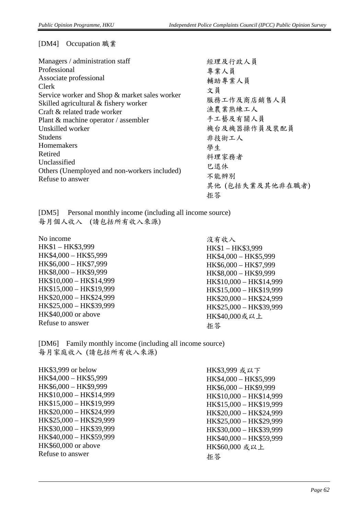[DM4] Occupation 職業

| Managers / administration staff               | 經理及行政人員         |
|-----------------------------------------------|-----------------|
| Professional                                  | 專業人員            |
| Associate professional                        | 輔助專業人員          |
| Clerk                                         | 文員              |
| Service worker and Shop & market sales worker |                 |
| Skilled agricultural & fishery worker         | 服務工作及商店銷售人員     |
| Craft & related trade worker                  | 漁農業熟練工人         |
| Plant & machine operator / assembler          | 手工藝及有關人員        |
| Unskilled worker                              | 機台及機器操作員及裝配員    |
| <b>Studens</b>                                | 非技術工人           |
| Homemakers                                    | 學生              |
| Retired                                       | 料理家務者           |
| Unclassified                                  | 已退休             |
| Others (Unemployed and non-workers included)  |                 |
| Refuse to answer                              | 不能辨别            |
|                                               | 其他(包括失業及其他非在職者) |
|                                               | 拒答              |

[DM5] Personal monthly income (including all income source) 每月個人收入 (請包括所有收入來源)

No income HK\$1 – HK\$3,999 HK\$4,000 – HK\$5,999 HK\$6,000 – HK\$7,999 HK\$8,000 – HK\$9,999 HK\$10,000 – HK\$14,999 HK\$15,000 – HK\$19,999 HK\$20,000 – HK\$24,999 HK\$25,000 – HK\$39,999 HK\$40,000 or above Refuse to answer

沒有收入 HK\$1 – HK\$3,999 HK\$4,000 – HK\$5,999 HK\$6,000 – HK\$7,999 HK\$8,000 – HK\$9,999 HK\$10,000 – HK\$14,999 HK\$15,000 – HK\$19,999 HK\$20,000 – HK\$24,999 HK\$25,000 – HK\$39,999 HK\$40,000或以上 拒答

[DM6] Family monthly income (including all income source) 每月家庭收入 (請包括所有收入來源)

| HK\$3,999 or below      |
|-------------------------|
| HK\$4,000 - HK\$5,999   |
| HK\$6,000 - HK\$9,999   |
| HK\$10,000 - HK\$14,999 |
| HK\$15,000 - HK\$19,999 |
| HK\$20,000 - HK\$24,999 |
| HK\$25,000 - HK\$29,999 |
| HK\$30,000 - HK\$39,999 |
| HK\$40,000 - HK\$59,999 |
| HK\$60,000 or above     |
| Refuse to answer        |
|                         |

HK\$3,999 或以下 HK\$4,000 – HK\$5,999 HK\$6,000 – HK\$9,999 HK\$10,000 – HK\$14,999 HK\$15,000 – HK\$19,999 HK\$20,000 – HK\$24,999 HK\$25,000 – HK\$29,999 HK\$30,000 – HK\$39,999 HK\$40,000 – HK\$59,999 HK\$60,000 或以上 拒答